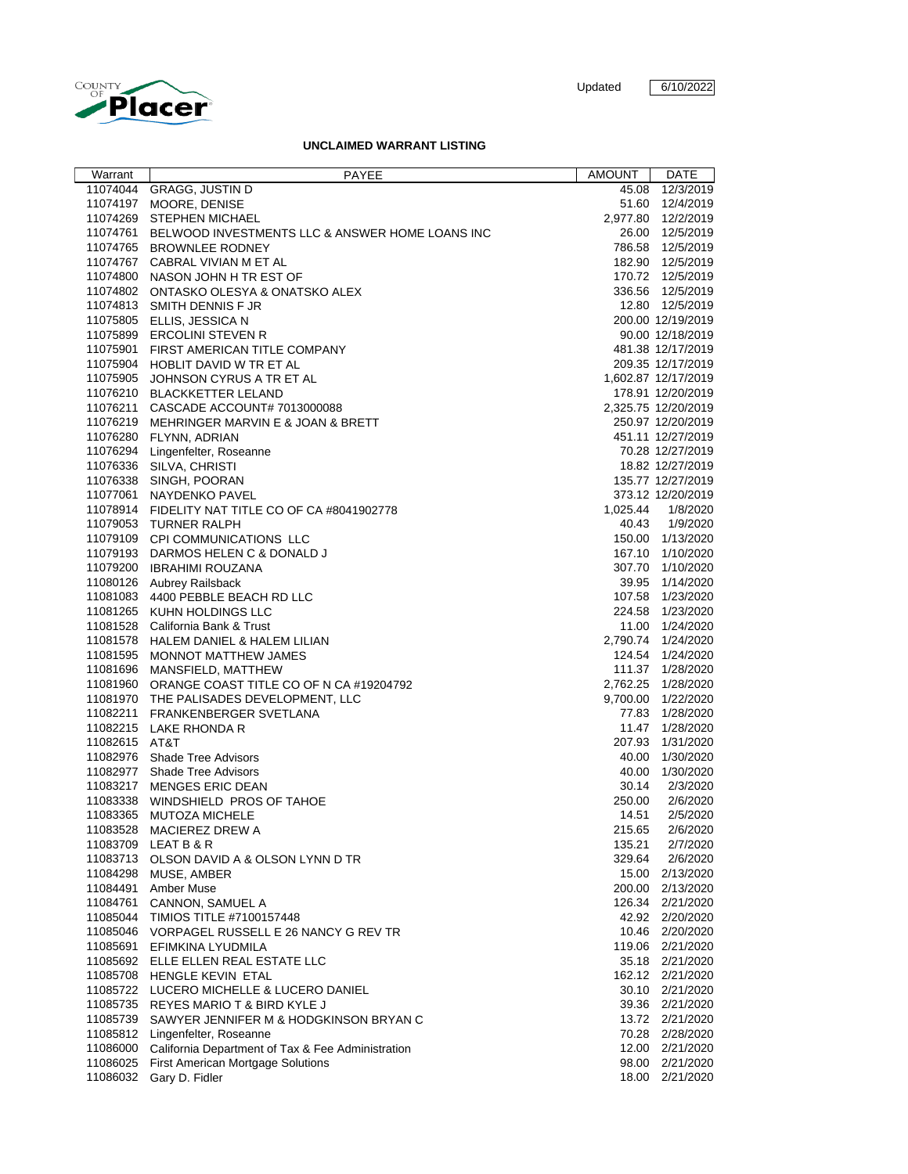

## **UNCLAIMED WARRANT LISTING**

| Warrant       |                                                            | AMOUNT   | DATE                |
|---------------|------------------------------------------------------------|----------|---------------------|
|               | PAYEE                                                      |          |                     |
|               | 11074044 GRAGG, JUSTIN D                                   | 45.08    | 12/3/2019           |
|               | 11074197 MOORE, DENISE                                     |          | 51.60 12/4/2019     |
|               | 11074269 STEPHEN MICHAEL                                   |          | 2,977.80 12/2/2019  |
|               | 11074761 BELWOOD INVESTMENTS LLC & ANSWER HOME LOANS INC   |          | 26.00 12/5/2019     |
|               | 11074765 BROWNLEE RODNEY                                   |          | 786.58 12/5/2019    |
|               | 11074767 CABRAL VIVIAN M ET AL                             |          | 182.90 12/5/2019    |
|               | 11074800 NASON JOHN H TR EST OF                            |          | 170.72 12/5/2019    |
|               | 11074802 ONTASKO OLESYA & ONATSKO ALEX                     |          | 336.56 12/5/2019    |
|               | 11074813 SMITH DENNIS F JR                                 |          | 12.80 12/5/2019     |
|               | 11075805 ELLIS, JESSICA N                                  |          | 200.00 12/19/2019   |
|               | 11075899 ERCOLINI STEVEN R                                 |          | 90.00 12/18/2019    |
|               | 11075901 FIRST AMERICAN TITLE COMPANY                      |          | 481.38 12/17/2019   |
|               | 11075904 HOBLIT DAVID W TR ET AL                           |          | 209.35 12/17/2019   |
|               | 11075905 JOHNSON CYRUS A TR ET AL                          |          | 1,602.87 12/17/2019 |
|               | 11076210 BLACKKETTER LELAND                                |          | 178.91 12/20/2019   |
|               | 11076211 CASCADE ACCOUNT# 7013000088                       |          | 2,325.75 12/20/2019 |
|               | 11076219 MEHRINGER MARVIN E & JOAN & BRETT                 |          | 250.97 12/20/2019   |
|               | 11076280 FLYNN, ADRIAN                                     |          | 451.11 12/27/2019   |
|               | 11076294 Lingenfelter, Roseanne                            |          | 70.28 12/27/2019    |
|               | 11076336 SILVA, CHRISTI                                    |          | 18.82 12/27/2019    |
|               | 11076338 SINGH, POORAN                                     |          | 135.77 12/27/2019   |
|               | 11077061 NAYDENKO PAVEL                                    |          | 373.12 12/20/2019   |
|               | 11078914 FIDELITY NAT TITLE CO OF CA #8041902778           | 1,025.44 | 1/8/2020            |
|               | 11079053 TURNER RALPH                                      |          | 40.43 1/9/2020      |
|               |                                                            |          | 150.00 1/13/2020    |
|               | 11079109 CPI COMMUNICATIONS LLC                            |          |                     |
|               | 11079193 DARMOS HELEN C & DONALD J                         |          | 167.10 1/10/2020    |
|               | 11079200 IBRAHIMI ROUZANA                                  |          | 307.70 1/10/2020    |
|               | 11080126 Aubrey Railsback                                  |          | 39.95 1/14/2020     |
|               | 11081083 4400 PEBBLE BEACH RD LLC                          |          | 107.58 1/23/2020    |
|               | 11081265 KUHN HOLDINGS LLC                                 |          | 224.58 1/23/2020    |
|               | 11081528 California Bank & Trust                           |          | 11.00 1/24/2020     |
|               | 11081578 HALEM DANIEL & HALEM LILIAN                       |          | 2,790.74 1/24/2020  |
|               | 11081595 MONNOT MATTHEW JAMES                              |          | 124.54 1/24/2020    |
|               | 11081696 MANSFIELD, MATTHEW                                |          | 111.37  1/28/2020   |
|               | 11081960 ORANGE COAST TITLE CO OF N CA #19204792           |          | 2,762.25 1/28/2020  |
|               | 11081970 THE PALISADES DEVELOPMENT, LLC                    |          | 9,700.00 1/22/2020  |
|               | 11082211 FRANKENBERGER SVETLANA                            |          | 77.83 1/28/2020     |
|               | 11082215 LAKE RHONDA R                                     |          | 11.47 1/28/2020     |
| 11082615 AT&T |                                                            |          | 207.93 1/31/2020    |
|               | 11082976 Shade Tree Advisors                               |          | 40.00 1/30/2020     |
|               | 11082977 Shade Tree Advisors                               |          | 40.00 1/30/2020     |
|               | 11083217 MENGES ERIC DEAN                                  | 30.14    | 2/3/2020            |
|               | 11083338 WINDSHIELD PROS OF TAHOE                          | 250.00   | 2/6/2020            |
|               | 11083365 MUTOZA MICHELE                                    | 14.51    | 2/5/2020            |
|               | 11083528 MACIEREZ DREW A                                   | 215.65   | 2/6/2020            |
|               | 11083709 LEAT B & R                                        | 135.21   | 2/7/2020            |
|               | 11083713 OLSON DAVID A & OLSON LYNN D TR                   | 329.64   | 2/6/2020            |
|               | 11084298 MUSE, AMBER                                       |          | 15.00 2/13/2020     |
|               | 11084491 Amber Muse                                        |          | 200.00 2/13/2020    |
|               | 11084761 CANNON, SAMUEL A                                  |          | 126.34 2/21/2020    |
|               | 11085044 TIMIOS TITLE #7100157448                          |          | 42.92 2/20/2020     |
|               | 11085046 VORPAGEL RUSSELL E 26 NANCY G REV TR              |          | 10.46 2/20/2020     |
|               | 11085691 EFIMKINA LYUDMILA                                 |          | 119.06 2/21/2020    |
|               | 11085692 ELLE ELLEN REAL ESTATE LLC                        |          | 35.18 2/21/2020     |
|               | 11085708 HENGLE KEVIN ETAL                                 |          | 162.12 2/21/2020    |
|               | 11085722 LUCERO MICHELLE & LUCERO DANIEL                   |          | 30.10 2/21/2020     |
|               |                                                            |          |                     |
|               | 11085735 REYES MARIO T & BIRD KYLE J                       |          | 39.36 2/21/2020     |
|               | 11085739 SAWYER JENNIFER M & HODGKINSON BRYAN C            |          | 13.72 2/21/2020     |
|               | 11085812 Lingenfelter, Roseanne                            |          | 70.28 2/28/2020     |
|               | 11086000 California Department of Tax & Fee Administration |          | 12.00 2/21/2020     |
|               | 11086025 First American Mortgage Solutions                 |          | 98.00 2/21/2020     |
|               | 11086032 Gary D. Fidler                                    |          | 18.00 2/21/2020     |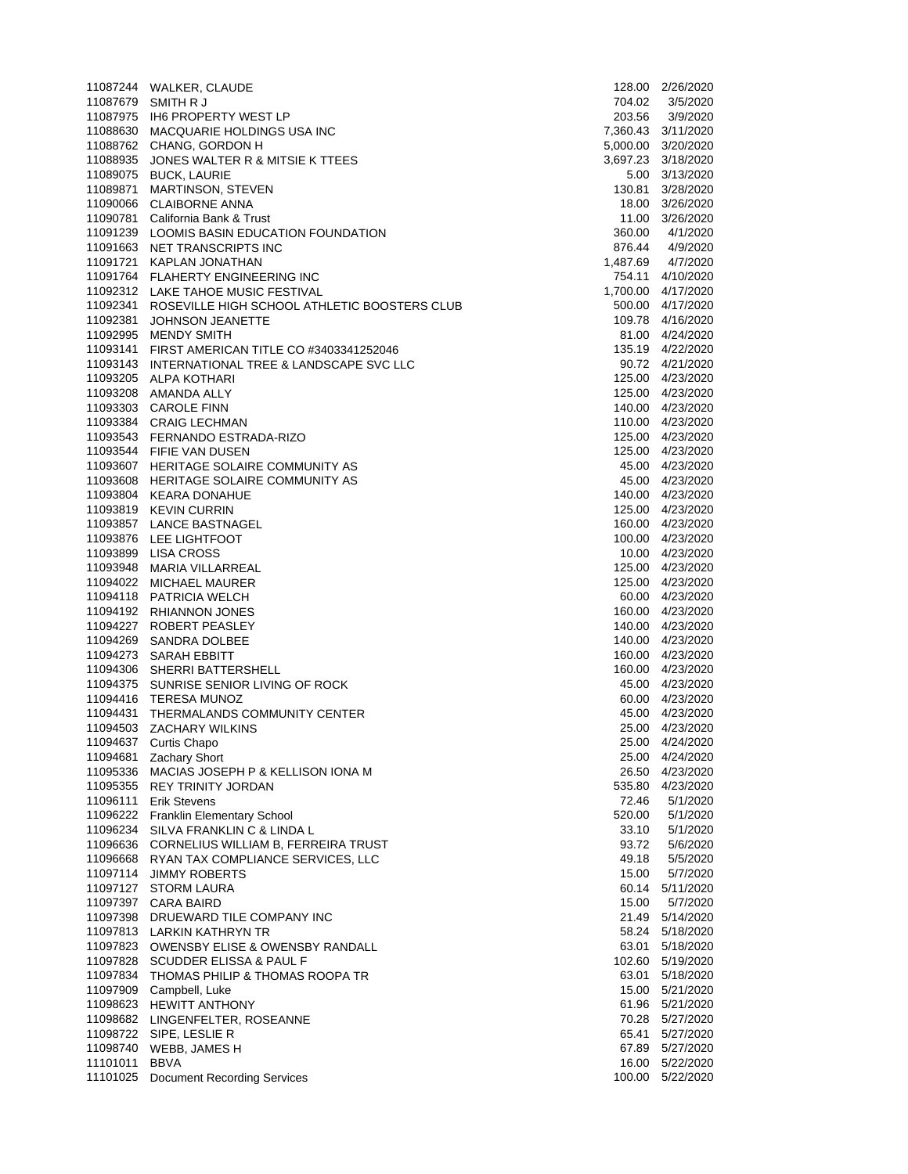|               | 11087244 WALKER, CLAUDE                                                                     |          | 128.00 2/26/2020                       |
|---------------|---------------------------------------------------------------------------------------------|----------|----------------------------------------|
|               | 11087679 SMITH R J                                                                          | 704.02   | 3/5/2020                               |
|               | 11087975 IH6 PROPERTY WEST LP                                                               | 203.56   | 3/9/2020                               |
|               | 11088630 MACQUARIE HOLDINGS USA INC                                                         |          | 7,360.43 3/11/2020                     |
|               | 11088762 CHANG, GORDON H                                                                    |          | 5,000.00 3/20/2020                     |
|               | 11088935 JONES WALTER R & MITSIE K TTEES                                                    |          | 3,697.23 3/18/2020                     |
|               | 11089075 BUCK, LAURIE                                                                       |          | 5.00 3/13/2020                         |
|               | 11089871 MARTINSON, STEVEN                                                                  | 130.81   | 3/28/2020                              |
|               | 11090066 CLAIBORNE ANNA                                                                     |          | 18.00 3/26/2020                        |
|               | 11090781 California Bank & Trust                                                            |          | 11.00 3/26/2020                        |
|               | 11091239 LOOMIS BASIN EDUCATION FOUNDATION                                                  | 360.00   | 4/1/2020                               |
|               | 11091663 NET TRANSCRIPTS INC                                                                | 876.44   | 4/9/2020                               |
|               | 11091721 KAPLAN JONATHAN                                                                    | 1,487.69 | 4/7/2020                               |
|               | 11091764 FLAHERTY ENGINEERING INC                                                           |          | 754.11 4/10/2020                       |
|               | 11092312 LAKE TAHOE MUSIC FESTIVAL<br>11092341 ROSEVILLE HIGH SCHOOL ATHLETIC BOOSTERS CLUB |          | 1,700.00 4/17/2020<br>500.00 4/17/2020 |
|               | 11092381 JOHNSON JEANETTE                                                                   |          | 109.78 4/16/2020                       |
|               | 11092995 MENDY SMITH                                                                        |          | 81.00 4/24/2020                        |
|               | 11093141 FIRST AMERICAN TITLE CO #3403341252046                                             |          | 135.19 4/22/2020                       |
|               | 11093143 INTERNATIONAL TREE & LANDSCAPE SVC LLC                                             |          | 90.72 4/21/2020                        |
|               | 11093205 ALPA KOTHARI                                                                       |          | 125.00 4/23/2020                       |
|               | 11093208 AMANDA ALLY                                                                        |          | 125.00 4/23/2020                       |
|               | 11093303 CAROLE FINN                                                                        |          | 140.00 4/23/2020                       |
|               | 11093384 CRAIG LECHMAN                                                                      |          | 110.00 4/23/2020                       |
|               | 11093543 FERNANDO ESTRADA-RIZO                                                              |          | 125.00 4/23/2020                       |
|               | 11093544 FIFIE VAN DUSEN                                                                    |          | 125.00 4/23/2020                       |
|               | 11093607 HERITAGE SOLAIRE COMMUNITY AS                                                      |          | 45.00 4/23/2020                        |
|               | 11093608 HERITAGE SOLAIRE COMMUNITY AS                                                      |          | 45.00 4/23/2020                        |
|               | 11093804 KEARA DONAHUE                                                                      |          | 140.00 4/23/2020                       |
|               | 11093819 KEVIN CURRIN                                                                       |          | 125.00 4/23/2020                       |
|               | 11093857 LANCE BASTNAGEL                                                                    |          | 160.00 4/23/2020                       |
|               | 11093876 LEE LIGHTFOOT                                                                      |          | 100.00 4/23/2020                       |
|               | 11093899 LISA CROSS                                                                         |          | 10.00 4/23/2020                        |
|               | 11093948 MARIA VILLARREAL                                                                   |          | 125.00 4/23/2020                       |
|               | 11094022 MICHAEL MAURER                                                                     |          | 125.00 4/23/2020                       |
|               | 11094118 PATRICIA WELCH                                                                     |          | 60.00 4/23/2020                        |
|               | 11094192 RHIANNON JONES                                                                     |          | 160.00 4/23/2020                       |
|               | 11094227 ROBERT PEASLEY                                                                     |          | 140.00 4/23/2020                       |
|               | 11094269 SANDRA DOLBEE                                                                      |          | 140.00 4/23/2020                       |
|               | 11094273 SARAH EBBITT                                                                       |          | 160.00 4/23/2020                       |
|               | 11094306 SHERRI BATTERSHELL                                                                 |          | 160.00 4/23/2020                       |
|               | 11094375 SUNRISE SENIOR LIVING OF ROCK                                                      |          | 45.00 4/23/2020                        |
|               | 11094416 TERESA MUNOZ                                                                       |          | 60.00 4/23/2020                        |
|               | 11094431 THERMALANDS COMMUNITY CENTER                                                       | 45.00    | 4/23/2020                              |
|               | 11094503 ZACHARY WILKINS                                                                    |          | 25.00 4/23/2020                        |
|               | 11094637 Curtis Chapo                                                                       |          | 25.00 4/24/2020                        |
|               | 11094681 Zachary Short                                                                      | 25.00    | 4/24/2020                              |
|               | 11095336 MACIAS JOSEPH P & KELLISON IONA M                                                  | 26.50    | 4/23/2020                              |
|               | 11095355 REY TRINITY JORDAN                                                                 | 535.80   | 4/23/2020                              |
|               | 11096111 Erik Stevens                                                                       | 72.46    | 5/1/2020                               |
|               | 11096222 Franklin Elementary School                                                         | 520.00   | 5/1/2020                               |
|               | 11096234 SILVA FRANKLIN C & LINDA L                                                         | 33.10    | 5/1/2020                               |
|               | 11096636 CORNELIUS WILLIAM B, FERREIRA TRUST                                                | 93.72    | 5/6/2020                               |
|               | 11096668 RYAN TAX COMPLIANCE SERVICES, LLC                                                  | 49.18    | 5/5/2020                               |
|               | 11097114 JIMMY ROBERTS                                                                      | 15.00    | 5/7/2020                               |
|               | 11097127 STORM LAURA                                                                        |          | 60.14 5/11/2020                        |
|               | 11097397 CARA BAIRD                                                                         | 15.00    | 5/7/2020                               |
|               | 11097398 DRUEWARD TILE COMPANY INC                                                          |          | 21.49 5/14/2020                        |
|               | 11097813 LARKIN KATHRYN TR                                                                  |          | 58.24 5/18/2020                        |
|               | 11097823 OWENSBY ELISE & OWENSBY RANDALL                                                    | 63.01    | 5/18/2020                              |
|               | 11097828 SCUDDER ELISSA & PAUL F                                                            |          | 102.60 5/19/2020                       |
|               | 11097834 THOMAS PHILIP & THOMAS ROOPA TR                                                    | 63.01    | 5/18/2020                              |
|               | 11097909 Campbell, Luke                                                                     | 15.00    | 5/21/2020                              |
|               | 11098623 HEWITT ANTHONY                                                                     |          | 61.96 5/21/2020                        |
|               | 11098682 LINGENFELTER, ROSEANNE                                                             |          | 70.28 5/27/2020                        |
|               | 11098722 SIPE, LESLIE R                                                                     | 65.41    | 5/27/2020                              |
|               | 11098740 WEBB, JAMES H                                                                      |          | 67.89 5/27/2020                        |
| 11101011 BBVA |                                                                                             | 16.00    | 5/22/2020                              |
|               | 11101025 Document Recording Services                                                        |          | 100.00 5/22/2020                       |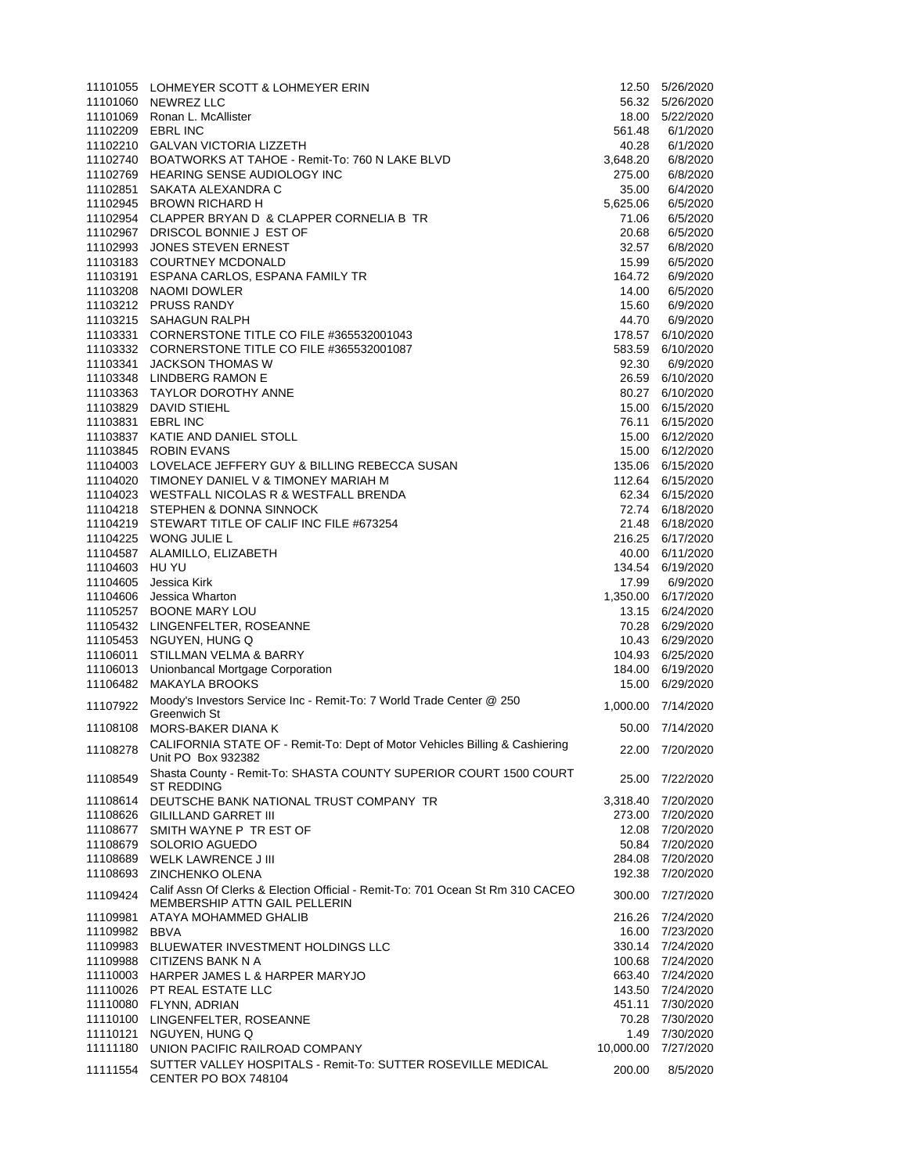|                   | 11101055 LOHMEYER SCOTT & LOHMEYER ERIN                                              |           | 12.50  5/26/2020                   |
|-------------------|--------------------------------------------------------------------------------------|-----------|------------------------------------|
|                   | 11101060 NEWREZ LLC                                                                  |           | 56.32  5/26/2020                   |
|                   | 11101069 Ronan L. McAllister                                                         | 18.00     | 5/22/2020                          |
| 11102209 EBRL INC |                                                                                      | 561.48    | 6/1/2020                           |
|                   | 11102210 GALVAN VICTORIA LIZZETH                                                     | 40.28     | 6/1/2020                           |
|                   | 11102740 BOATWORKS AT TAHOE - Remit-To: 760 N LAKE BLVD                              | 3,648.20  | 6/8/2020                           |
|                   | 11102769 HEARING SENSE AUDIOLOGY INC                                                 | 275.00    | 6/8/2020                           |
|                   | 11102851 SAKATA ALEXANDRA C                                                          | 35.00     | 6/4/2020                           |
|                   | 11102945 BROWN RICHARD H                                                             | 5,625.06  | 6/5/2020                           |
|                   | 11102954 CLAPPER BRYAN D & CLAPPER CORNELIA B TR                                     | 71.06     | 6/5/2020                           |
|                   | 11102967 DRISCOL BONNIE J EST OF                                                     | 20.68     | 6/5/2020                           |
|                   | 11102993 JONES STEVEN ERNEST                                                         | 32.57     | 6/8/2020                           |
|                   | 11103183 COURTNEY MCDONALD                                                           | 15.99     | 6/5/2020                           |
|                   | 11103191 ESPANA CARLOS, ESPANA FAMILY TR                                             | 164.72    | 6/9/2020                           |
|                   | 11103208 NAOMI DOWLER                                                                | 14.00     | 6/5/2020                           |
|                   | 11103212 PRUSS RANDY                                                                 | 15.60     | 6/9/2020                           |
|                   | 11103215 SAHAGUN RALPH                                                               | 44.70     | 6/9/2020                           |
|                   | 11103331 CORNERSTONE TITLE CO FILE #365532001043                                     | 178.57    | 6/10/2020                          |
|                   | 11103332 CORNERSTONE TITLE CO FILE #365532001087                                     | 583.59    | 6/10/2020                          |
|                   | 11103341 JACKSON THOMAS W                                                            | 92.30     | 6/9/2020                           |
|                   | 11103348 LINDBERG RAMON E                                                            |           | 26.59 6/10/2020                    |
|                   | 11103363 TAYLOR DOROTHY ANNE                                                         | 80.27     | 6/10/2020                          |
|                   | 11103829 DAVID STIEHL                                                                | 15.00     | 6/15/2020                          |
| 11103831 EBRL INC |                                                                                      | 76.11     | 6/15/2020                          |
|                   | 11103837 KATIE AND DANIEL STOLL                                                      |           | 15.00 6/12/2020                    |
|                   | 11103845 ROBIN EVANS                                                                 |           | 15.00 6/12/2020                    |
|                   | 11104003 LOVELACE JEFFERY GUY & BILLING REBECCA SUSAN                                |           | 135.06 6/15/2020                   |
|                   | 11104020 TIMONEY DANIEL V & TIMONEY MARIAH M                                         |           | 112.64 6/15/2020                   |
|                   | 11104023 WESTFALL NICOLAS R & WESTFALL BRENDA                                        |           | 62.34 6/15/2020                    |
|                   | 11104218 STEPHEN & DONNA SINNOCK                                                     |           | 72.74 6/18/2020                    |
|                   | 11104219 STEWART TITLE OF CALIF INC FILE #673254                                     |           | 21.48 6/18/2020                    |
|                   | 11104225 WONG JULIE L                                                                |           | 216.25 6/17/2020                   |
|                   | 11104587 ALAMILLO, ELIZABETH                                                         | 40.00     | 6/11/2020                          |
| 11104603 HU YU    |                                                                                      |           | 134.54 6/19/2020                   |
| 11104605          | Jessica Kirk                                                                         | 17.99     | 6/9/2020                           |
|                   | 11104606 Jessica Wharton                                                             |           | 1,350.00 6/17/2020                 |
|                   | 11105257 BOONE MARY LOU<br>11105432 LINGENFELTER, ROSEANNE                           |           | 13.15 6/24/2020                    |
|                   | 11105453 NGUYEN, HUNG Q                                                              |           | 70.28 6/29/2020<br>10.43 6/29/2020 |
|                   | 11106011 STILLMAN VELMA & BARRY                                                      |           | 104.93 6/25/2020                   |
|                   | 11106013 Unionbancal Mortgage Corporation                                            | 184.00    | 6/19/2020                          |
|                   | 11106482 MAKAYLA BROOKS                                                              | 15.00     | 6/29/2020                          |
|                   |                                                                                      |           |                                    |
| 11107922          | Moody's Investors Service Inc - Remit-To: 7 World Trade Center @ 250<br>Greenwich St | 1,000.00  | 7/14/2020                          |
|                   | 11108108 MORS-BAKER DIANA K                                                          | 50.00     | 7/14/2020                          |
|                   | CALIFORNIA STATE OF - Remit-To: Dept of Motor Vehicles Billing & Cashiering          |           |                                    |
| 11108278          | Unit PO Box 932382                                                                   | 22.00     | 7/20/2020                          |
|                   | Shasta County - Remit-To: SHASTA COUNTY SUPERIOR COURT 1500 COURT                    |           |                                    |
| 11108549          | <b>ST REDDING</b>                                                                    | 25.00     | 7/22/2020                          |
| 11108614          | DEUTSCHE BANK NATIONAL TRUST COMPANY TR                                              | 3,318.40  | 7/20/2020                          |
|                   | 11108626 GILILLAND GARRET III                                                        | 273.00    | 7/20/2020                          |
| 11108677          | SMITH WAYNE P TR EST OF                                                              | 12.08     | 7/20/2020                          |
| 11108679          | SOLORIO AGUEDO                                                                       | 50.84     | 7/20/2020                          |
|                   | 11108689 WELK LAWRENCE J III                                                         | 284.08    | 7/20/2020                          |
| 11108693          | <b>ZINCHENKO OLENA</b>                                                               | 192.38    | 7/20/2020                          |
| 11109424          | Calif Assn Of Clerks & Election Official - Remit-To: 701 Ocean St Rm 310 CACEO       | 300.00    | 7/27/2020                          |
|                   | <b>MEMBERSHIP ATTN GAIL PELLERIN</b>                                                 |           |                                    |
| 11109981          | ATAYA MOHAMMED GHALIB                                                                | 216.26    | 7/24/2020                          |
| 11109982          | <b>BBVA</b>                                                                          | 16.00     | 7/23/2020                          |
| 11109983          | BLUEWATER INVESTMENT HOLDINGS LLC                                                    | 330.14    | 7/24/2020                          |
|                   | 11109988 CITIZENS BANK N A                                                           | 100.68    | 7/24/2020                          |
|                   | 11110003 HARPER JAMES L & HARPER MARYJO                                              | 663.40    | 7/24/2020                          |
|                   | 11110026 PT REAL ESTATE LLC                                                          | 143.50    | 7/24/2020                          |
|                   | 11110080 FLYNN, ADRIAN                                                               | 451.11    | 7/30/2020                          |
|                   | 11110100 LINGENFELTER, ROSEANNE                                                      | 70.28     | 7/30/2020                          |
| 11110121          | NGUYEN, HUNG Q                                                                       | 1.49      | 7/30/2020                          |
|                   | 11111180 UNION PACIFIC RAILROAD COMPANY                                              | 10,000.00 | 7/27/2020                          |
| 11111554          | SUTTER VALLEY HOSPITALS - Remit-To: SUTTER ROSEVILLE MEDICAL                         | 200.00    | 8/5/2020                           |
|                   | CENTER PO BOX 748104                                                                 |           |                                    |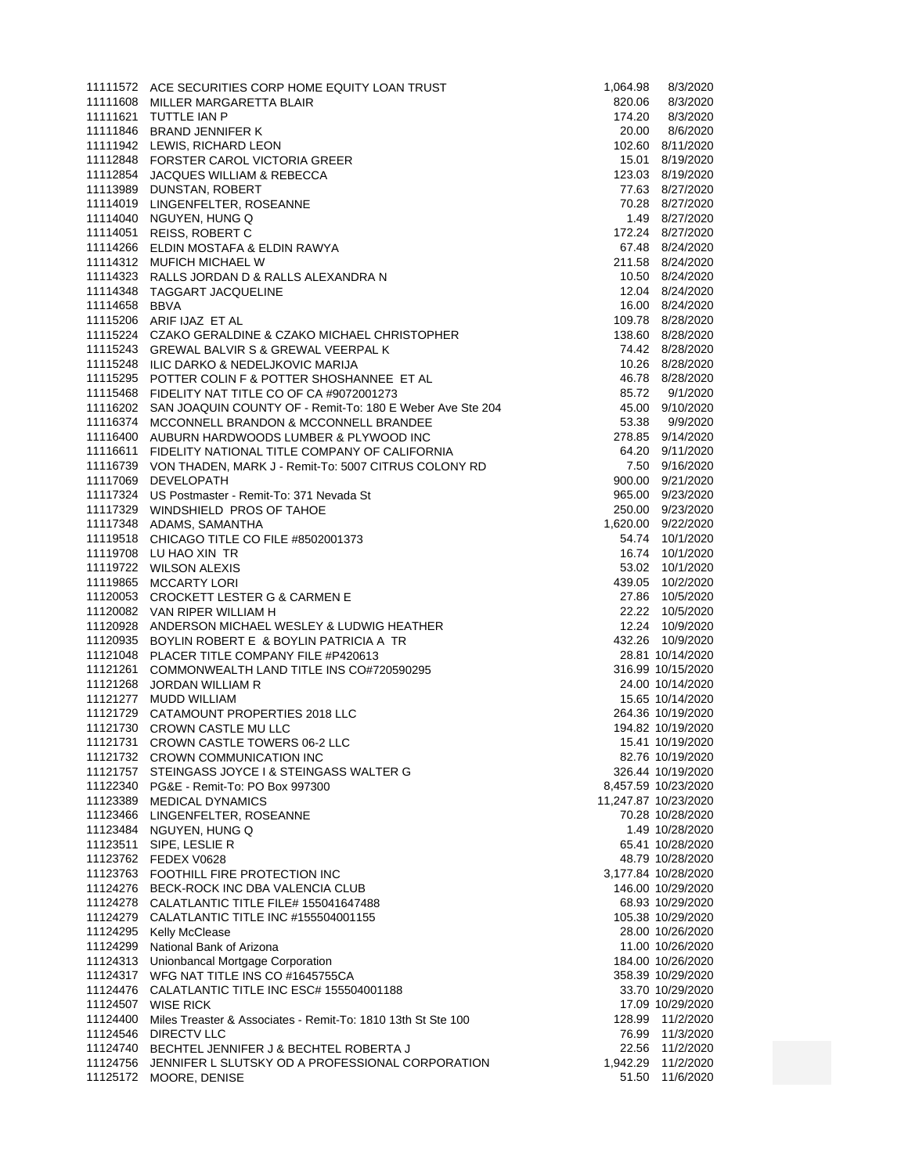|               | 11111572 ACE SECURITIES CORP HOME EQUITY LOAN TRUST                   | 1,064.98 | 8/3/2020                              |
|---------------|-----------------------------------------------------------------------|----------|---------------------------------------|
|               | 11111608 MILLER MARGARETTA BLAIR                                      | 820.06   | 8/3/2020                              |
|               | 11111621 TUTTLE IAN P                                                 | 174.20   | 8/3/2020                              |
|               | 11111846 BRAND JENNIFER K                                             | 20.00    | 8/6/2020                              |
|               | 11111942 LEWIS, RICHARD LEON                                          |          | 102.60 8/11/2020                      |
|               | 11112848 FORSTER CAROL VICTORIA GREER                                 |          | 15.01 8/19/2020                       |
|               | 11112854 JACQUES WILLIAM & REBECCA                                    |          | 123.03 8/19/2020                      |
|               | 11113989 DUNSTAN, ROBERT                                              |          | 77.63 8/27/2020<br>70.28 8/27/2020    |
|               | 11114019 LINGENFELTER, ROSEANNE<br>11114040 NGUYEN, HUNG Q            |          | 1.49 8/27/2020                        |
|               | 11114051 REISS, ROBERT C                                              |          | 172.24 8/27/2020                      |
|               | 11114266 ELDIN MOSTAFA & ELDIN RAWYA                                  |          | 67.48 8/24/2020                       |
|               | 11114312 MUFICH MICHAEL W                                             |          | 211.58 8/24/2020                      |
|               | 11114323 RALLS JORDAN D & RALLS ALEXANDRA N                           |          | 10.50 8/24/2020                       |
|               | 11114348 TAGGART JACQUELINE                                           |          | 12.04 8/24/2020                       |
| 11114658 BBVA |                                                                       |          | 16.00 8/24/2020                       |
|               | 11115206 ARIF IJAZ ET AL                                              |          | 109.78  8/28/2020                     |
|               | 11115224 CZAKO GERALDINE & CZAKO MICHAEL CHRISTOPHER                  |          | 138.60 8/28/2020                      |
|               | 11115243 GREWAL BALVIR S & GREWAL VEERPAL K                           |          | 74.42 8/28/2020                       |
|               | 11115248 ILIC DARKO & NEDELJKOVIC MARIJA                              |          | 10.26 8/28/2020                       |
|               | 11115295 POTTER COLIN F & POTTER SHOSHANNEE ET AL                     |          | 46.78 8/28/2020                       |
|               | 11115468 FIDELITY NAT TITLE CO OF CA #9072001273                      |          | 85.72 9/1/2020                        |
|               | 11116202 SAN JOAQUIN COUNTY OF - Remit-To: 180 E Weber Ave Ste 204    |          | 45.00 9/10/2020                       |
|               | 11116374 MCCONNELL BRANDON & MCCONNELL BRANDEE                        | 53.38    | 9/9/2020                              |
|               | 11116400 AUBURN HARDWOODS LUMBER & PLYWOOD INC                        |          | 278.85 9/14/2020                      |
|               | 11116611 FIDELITY NATIONAL TITLE COMPANY OF CALIFORNIA                |          | 64.20 9/11/2020                       |
|               | 11116739 VON THADEN, MARK J - Remit-To: 5007 CITRUS COLONY RD         |          | 7.50 9/16/2020                        |
|               | 11117069 DEVELOPATH                                                   |          | 900.00 9/21/2020                      |
|               | 11117324 US Postmaster - Remit-To: 371 Nevada St                      |          | 965.00 9/23/2020                      |
|               | 11117329 WINDSHIELD PROS OF TAHOE                                     |          | 250.00 9/23/2020                      |
|               | 11117348 ADAMS, SAMANTHA                                              |          | 1,620.00 9/22/2020                    |
|               | 11119518 CHICAGO TITLE CO FILE #8502001373                            |          | 54.74 10/1/2020                       |
|               | 11119708 LU HAO XIN TR                                                |          | 16.74 10/1/2020                       |
|               | 11119722 WILSON ALEXIS                                                |          | 53.02 10/1/2020                       |
|               | 11119865 MCCARTY LORI<br>11120053 CROCKETT LESTER G & CARMEN E        |          | 439.05 10/2/2020<br>27.86 10/5/2020   |
|               | 11120082 VAN RIPER WILLIAM H                                          |          | 22.22 10/5/2020                       |
|               | 11120928 ANDERSON MICHAEL WESLEY & LUDWIG HEATHER                     |          | 12.24 10/9/2020                       |
|               | 11120935 BOYLIN ROBERT E & BOYLIN PATRICIA A TR                       |          | 432.26 10/9/2020                      |
|               | 11121048 PLACER TITLE COMPANY FILE #P420613                           |          | 28.81 10/14/2020                      |
|               | 11121261 COMMONWEALTH LAND TITLE INS CO#720590295                     |          | 316.99 10/15/2020                     |
|               | 11121268 JORDAN WILLIAM R                                             |          | 24.00 10/14/2020                      |
|               | 11121277 MUDD WILLIAM                                                 |          | 15.65 10/14/2020                      |
|               | 11121729 CATAMOUNT PROPERTIES 2018 LLC                                |          | 264.36 10/19/2020                     |
|               | 11121730 CROWN CASTLE MU LLC                                          |          | 194.82 10/19/2020                     |
|               | 11121731 CROWN CASTLE TOWERS 06-2 LLC                                 |          | 15.41 10/19/2020                      |
|               | 11121732 CROWN COMMUNICATION INC                                      |          | 82.76 10/19/2020                      |
|               | 11121757 STEINGASS JOYCE I & STEINGASS WALTER G                       |          | 326.44 10/19/2020                     |
|               | 11122340 PG&E - Remit-To: PO Box 997300                               |          | 8,457.59 10/23/2020                   |
|               | 11123389 MEDICAL DYNAMICS                                             |          | 11,247.87 10/23/2020                  |
|               | 11123466 LINGENFELTER, ROSEANNE                                       |          | 70.28 10/28/2020                      |
|               | 11123484 NGUYEN, HUNG Q                                               |          | 1.49 10/28/2020                       |
|               | 11123511 SIPE, LESLIE R                                               |          | 65.41 10/28/2020                      |
|               | 11123762 FEDEX V0628                                                  |          | 48.79 10/28/2020                      |
|               | 11123763 FOOTHILL FIRE PROTECTION INC                                 |          | 3,177.84 10/28/2020                   |
|               | 11124276 BECK-ROCK INC DBA VALENCIA CLUB                              |          | 146.00 10/29/2020                     |
|               | 11124278 CALATLANTIC TITLE FILE# 155041647488                         |          | 68.93 10/29/2020                      |
|               | 11124279 CALATLANTIC TITLE INC #155504001155                          |          | 105.38 10/29/2020                     |
|               | 11124295 Kelly McClease<br>11124299 National Bank of Arizona          |          | 28.00 10/26/2020                      |
|               | 11124313 Unionbancal Mortgage Corporation                             |          | 11.00 10/26/2020<br>184.00 10/26/2020 |
|               | 11124317 WFG NAT TITLE INS CO #1645755CA                              |          | 358.39 10/29/2020                     |
|               | 11124476 CALATLANTIC TITLE INC ESC# 155504001188                      |          | 33.70 10/29/2020                      |
|               | 11124507 WISE RICK                                                    |          | 17.09 10/29/2020                      |
|               | 11124400 Miles Treaster & Associates - Remit-To: 1810 13th St Ste 100 |          | 128.99 11/2/2020                      |
|               | 11124546 DIRECTV LLC                                                  |          | 76.99 11/3/2020                       |
|               | 11124740 BECHTEL JENNIFER J & BECHTEL ROBERTA J                       |          | 22.56 11/2/2020                       |
|               | 11124756 JENNIFER L SLUTSKY OD A PROFESSIONAL CORPORATION             |          | 1,942.29 11/2/2020                    |
|               | 11125172 MOORE, DENISE                                                |          | 51.50 11/6/2020                       |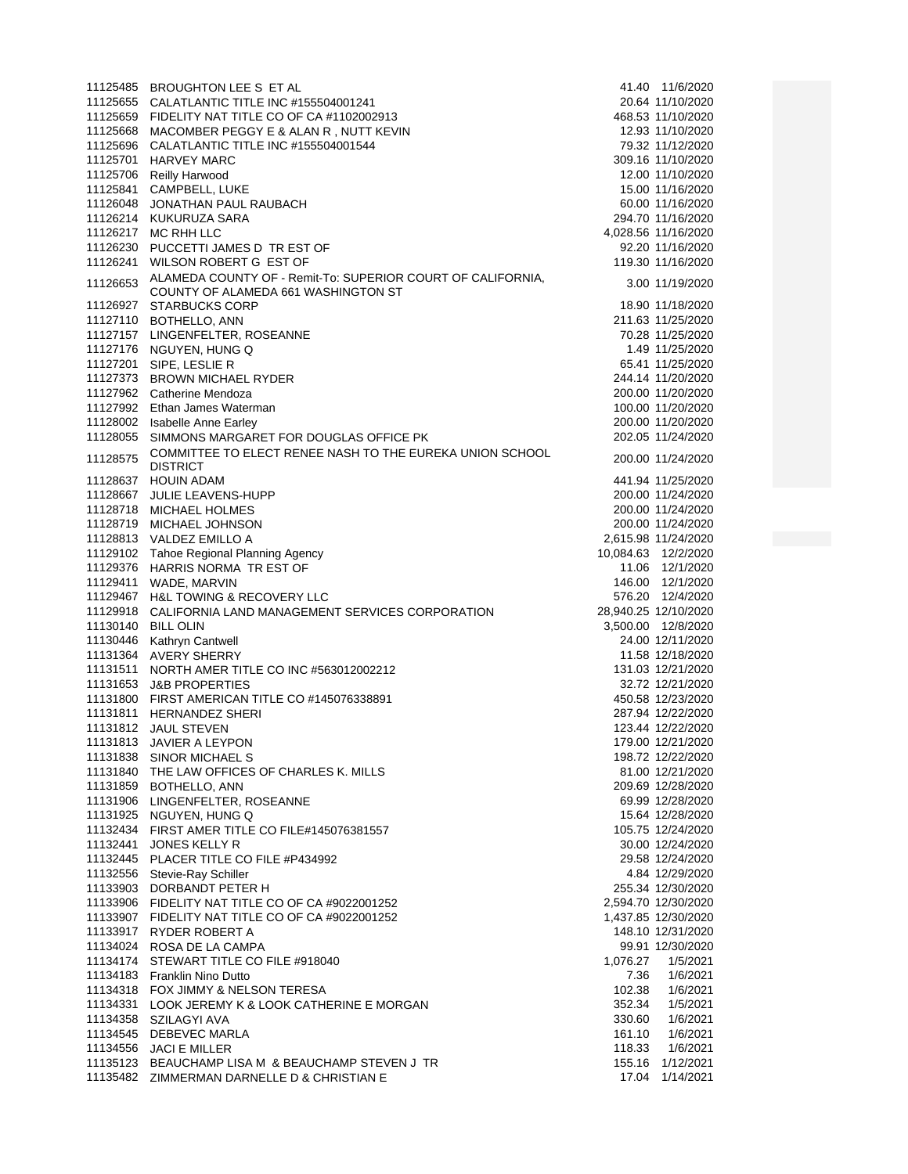|                    | 11125485 BROUGHTON LEE S ET AL                                                                     |          | 41.40 11/6/2020               |
|--------------------|----------------------------------------------------------------------------------------------------|----------|-------------------------------|
|                    | 11125655 CALATLANTIC TITLE INC #155504001241                                                       |          | 20.64 11/10/2020              |
|                    | 11125659 FIDELITY NAT TITLE CO OF CA #1102002913                                                   |          | 468.53 11/10/2020             |
|                    | 11125668 MACOMBER PEGGY E & ALAN R, NUTT KEVIN                                                     |          | 12.93 11/10/2020              |
|                    | 11125696 CALATLANTIC TITLE INC #155504001544                                                       |          | 79.32 11/12/2020              |
|                    | 11125701 HARVEY MARC                                                                               |          | 309.16 11/10/2020             |
|                    | 11125706 Reilly Harwood                                                                            |          | 12.00 11/10/2020              |
| 11125841           | CAMPBELL, LUKE                                                                                     |          | 15.00 11/16/2020              |
| 11126048           | JONATHAN PAUL RAUBACH                                                                              |          | 60.00 11/16/2020              |
|                    | 11126214 KUKURUZA SARA                                                                             |          | 294.70 11/16/2020             |
|                    | 11126217 MC RHH LLC                                                                                |          | 4,028.56 11/16/2020           |
|                    | 11126230 PUCCETTI JAMES D TR EST OF                                                                |          | 92.20 11/16/2020              |
| 11126241           | WILSON ROBERT G EST OF                                                                             |          | 119.30 11/16/2020             |
| 11126653           | ALAMEDA COUNTY OF - Remit-To: SUPERIOR COURT OF CALIFORNIA,<br>COUNTY OF ALAMEDA 661 WASHINGTON ST |          | 3.00 11/19/2020               |
|                    | 11126927 STARBUCKS CORP                                                                            |          | 18.90 11/18/2020              |
|                    | 11127110 BOTHELLO, ANN                                                                             |          | 211.63 11/25/2020             |
|                    | 11127157 LINGENFELTER, ROSEANNE                                                                    |          | 70.28 11/25/2020              |
|                    | 11127176 NGUYEN, HUNG Q                                                                            |          | 1.49 11/25/2020               |
|                    | 11127201 SIPE, LESLIE R                                                                            |          | 65.41 11/25/2020              |
|                    | 11127373 BROWN MICHAEL RYDER                                                                       |          | 244.14 11/20/2020             |
|                    | 11127962 Catherine Mendoza                                                                         |          | 200.00 11/20/2020             |
|                    | 11127992 Ethan James Waterman                                                                      |          | 100.00 11/20/2020             |
|                    | 11128002 Isabelle Anne Earley                                                                      |          | 200.00 11/20/2020             |
|                    | 11128055 SIMMONS MARGARET FOR DOUGLAS OFFICE PK                                                    |          | 202.05 11/24/2020             |
| 11128575           | COMMITTEE TO ELECT RENEE NASH TO THE EUREKA UNION SCHOOL<br><b>DISTRICT</b>                        |          | 200.00 11/24/2020             |
|                    | 11128637 HOUIN ADAM                                                                                |          | 441.94 11/25/2020             |
|                    | 11128667 JULIE LEAVENS-HUPP                                                                        |          | 200.00 11/24/2020             |
|                    | 11128718 MICHAEL HOLMES                                                                            |          | 200.00 11/24/2020             |
|                    | 11128719 MICHAEL JOHNSON                                                                           |          | 200.00 11/24/2020             |
|                    | 11128813 VALDEZ EMILLO A                                                                           |          | 2,615.98 11/24/2020           |
|                    | 11129102 Tahoe Regional Planning Agency                                                            |          | 10,084.63 12/2/2020           |
|                    | 11129376 HARRIS NORMA TR EST OF                                                                    |          | 11.06 12/1/2020               |
|                    | 11129411 WADE, MARVIN                                                                              |          | 146.00  12/1/2020             |
|                    | 11129467 H&L TOWING & RECOVERY LLC                                                                 |          | 576.20 12/4/2020              |
|                    | 11129918 CALIFORNIA LAND MANAGEMENT SERVICES CORPORATION                                           |          | 28,940.25 12/10/2020          |
| 11130140 BILL OLIN |                                                                                                    |          | 3,500.00 12/8/2020            |
|                    | 11130446 Kathryn Cantwell                                                                          |          | 24.00 12/11/2020              |
|                    | 11131364 AVERY SHERRY                                                                              |          | 11.58 12/18/2020              |
| 11131511           | NORTH AMER TITLE CO INC #563012002212                                                              |          | 131.03 12/21/2020             |
|                    | 11131653 J&B PROPERTIES                                                                            |          | 32.72 12/21/2020              |
|                    | 11131800 FIRST AMERICAN TITLE CO #145076338891                                                     |          | 450.58 12/23/2020             |
| 11131811           | <b>HERNANDEZ SHERI</b>                                                                             |          | 287.94 12/22/2020             |
|                    | 11131812 JAUL STEVEN                                                                               |          | 123.44 12/22/2020             |
|                    | 11131813 JAVIER A LEYPON                                                                           |          | 179.00 12/21/2020             |
|                    | 11131838 SINOR MICHAEL S                                                                           |          | 198.72 12/22/2020             |
|                    | 11131840 THE LAW OFFICES OF CHARLES K. MILLS                                                       |          | 81.00 12/21/2020              |
|                    | 11131859 BOTHELLO, ANN                                                                             |          | 209.69 12/28/2020             |
|                    | 11131906 LINGENFELTER, ROSEANNE                                                                    |          | 69.99 12/28/2020              |
|                    | 11131925 NGUYEN, HUNG Q                                                                            |          | 15.64 12/28/2020              |
|                    | 11132434 FIRST AMER TITLE CO FILE#145076381557                                                     |          | 105.75 12/24/2020             |
| 11132441           | <b>JONES KELLY R</b>                                                                               |          | 30.00 12/24/2020              |
|                    | 11132445 PLACER TITLE CO FILE #P434992                                                             |          | 29.58 12/24/2020              |
|                    | 11132556 Stevie-Ray Schiller                                                                       |          | 4.84 12/29/2020               |
|                    | 11133903 DORBANDT PETER H                                                                          |          | 255.34 12/30/2020             |
|                    | 11133906 FIDELITY NAT TITLE CO OF CA #9022001252                                                   |          | 2,594.70 12/30/2020           |
|                    | 11133907 FIDELITY NAT TITLE CO OF CA #9022001252                                                   |          | 1,437.85 12/30/2020           |
|                    | 11133917 RYDER ROBERT A                                                                            |          | 148.10 12/31/2020             |
|                    | 11134024 ROSA DE LA CAMPA                                                                          |          | 99.91 12/30/2020              |
|                    | 11134174 STEWART TITLE CO FILE #918040                                                             | 1,076.27 | 1/5/2021                      |
|                    | 11134183 Franklin Nino Dutto                                                                       | 7.36     | 1/6/2021                      |
|                    | 11134318 FOX JIMMY & NELSON TERESA                                                                 | 102.38   | 1/6/2021                      |
|                    | 11134331 LOOK JEREMY K & LOOK CATHERINE E MORGAN                                                   | 352.34   | 1/5/2021                      |
|                    | 11134358 SZILAGYI AVA                                                                              | 330.60   | 1/6/2021                      |
|                    |                                                                                                    |          |                               |
|                    | 11134545 DEBEVEC MARLA                                                                             | 161.10   | 1/6/2021                      |
|                    | 11134556 JACI E MILLER                                                                             | 118.33   | 1/6/2021                      |
|                    | 11135123 BEAUCHAMP LISA M & BEAUCHAMP STEVEN J TR<br>11135482 ZIMMERMAN DARNELLE D & CHRISTIAN E   | 17.04    | 155.16 1/12/2021<br>1/14/2021 |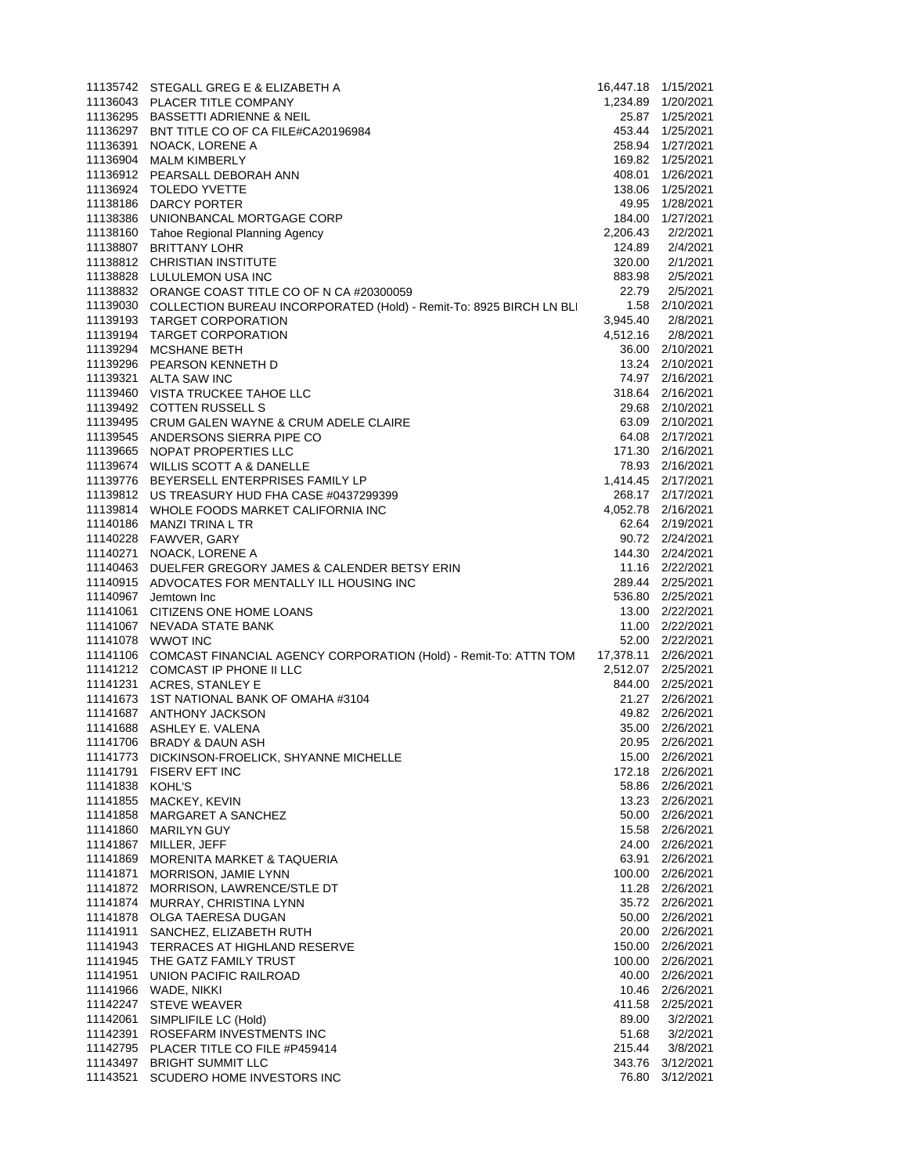|                 | 11135742 STEGALL GREG E & ELIZABETH A                                                          | 16,447.18 1/15/2021 |                                    |
|-----------------|------------------------------------------------------------------------------------------------|---------------------|------------------------------------|
|                 | 11136043 PLACER TITLE COMPANY                                                                  |                     | 1,234.89 1/20/2021                 |
|                 | 11136295 BASSETTI ADRIENNE & NEIL                                                              |                     | 25.87 1/25/2021                    |
|                 | 11136297 BNT TITLE CO OF CA FILE#CA20196984                                                    |                     | 453.44 1/25/2021                   |
|                 | 11136391 NOACK, LORENE A                                                                       |                     | 258.94 1/27/2021                   |
|                 | 11136904 MALM KIMBERLY                                                                         |                     | 169.82 1/25/2021                   |
|                 | 11136912 PEARSALL DEBORAH ANN                                                                  |                     | 408.01 1/26/2021                   |
|                 | 11136924 TOLEDO YVETTE                                                                         |                     | 138.06 1/25/2021                   |
|                 | 11138186 DARCY PORTER                                                                          |                     | 49.95 1/28/2021                    |
|                 | 11138386 UNIONBANCAL MORTGAGE CORP                                                             |                     | 184.00 1/27/2021                   |
|                 | 11138160 Tahoe Regional Planning Agency<br>11138807 BRITTANY LOHR                              | 2,206.43<br>124.89  | 2/2/2021<br>2/4/2021               |
|                 | 11138812 CHRISTIAN INSTITUTE                                                                   | 320.00              | 2/1/2021                           |
|                 | 11138828 LULULEMON USA INC                                                                     | 883.98              | 2/5/2021                           |
|                 | 11138832 ORANGE COAST TITLE CO OF N CA #20300059                                               | 22.79               | 2/5/2021                           |
|                 | 11139030 COLLECTION BUREAU INCORPORATED (Hold) - Remit-To: 8925 BIRCH LN BLI                   |                     | 1.58 2/10/2021                     |
|                 | 11139193 TARGET CORPORATION                                                                    | 3,945.40            | 2/8/2021                           |
|                 | 11139194 TARGET CORPORATION                                                                    |                     | 4,512.16 2/8/2021                  |
|                 | 11139294 MCSHANE BETH                                                                          |                     | 36.00 2/10/2021                    |
|                 | 11139296 PEARSON KENNETH D                                                                     |                     | 13.24 2/10/2021                    |
|                 | 11139321 ALTA SAW INC                                                                          |                     | 74.97 2/16/2021                    |
|                 | 11139460 VISTA TRUCKEE TAHOE LLC                                                               |                     | 318.64 2/16/2021                   |
|                 | 11139492 COTTEN RUSSELL S                                                                      |                     | 29.68 2/10/2021                    |
|                 | 11139495 CRUM GALEN WAYNE & CRUM ADELE CLAIRE                                                  |                     | 63.09 2/10/2021                    |
|                 | 11139545 ANDERSONS SIERRA PIPE CO                                                              |                     | 64.08 2/17/2021                    |
|                 | 11139665 NOPAT PROPERTIES LLC                                                                  |                     | 171.30 2/16/2021                   |
|                 | 11139674 WILLIS SCOTT A & DANELLE                                                              |                     | 78.93 2/16/2021                    |
|                 | 11139776 BEYERSELL ENTERPRISES FAMILY LP                                                       |                     | 1,414.45 2/17/2021                 |
|                 | 11139812 US TREASURY HUD FHA CASE #0437299399                                                  |                     | 268.17 2/17/2021                   |
|                 | 11139814 WHOLE FOODS MARKET CALIFORNIA INC                                                     |                     | 4,052.78 2/16/2021                 |
|                 | 11140186 MANZI TRINA L TR                                                                      |                     | 62.64 2/19/2021                    |
|                 | 11140228 FAWVER, GARY                                                                          |                     | 90.72 2/24/2021                    |
|                 | 11140271 NOACK, LORENE A                                                                       |                     | 144.30 2/24/2021                   |
|                 | 11140463 DUELFER GREGORY JAMES & CALENDER BETSY ERIN                                           |                     | 11.16 2/22/2021                    |
|                 | 11140915 ADVOCATES FOR MENTALLY ILL HOUSING INC                                                |                     | 289.44 2/25/2021                   |
|                 | 11140967 Jemtown Inc                                                                           |                     | 536.80 2/25/2021                   |
|                 | 11141061 CITIZENS ONE HOME LOANS                                                               |                     | 13.00 2/22/2021                    |
|                 | 11141067 NEVADA STATE BANK                                                                     |                     | 11.00 2/22/2021<br>52.00 2/22/2021 |
|                 | 11141078 WWOT INC<br>11141106 COMCAST FINANCIAL AGENCY CORPORATION (Hold) - Remit-To: ATTN TOM | 17,378.11 2/26/2021 |                                    |
|                 | 11141212 COMCAST IP PHONE II LLC                                                               |                     | 2,512.07 2/25/2021                 |
|                 | 11141231 ACRES, STANLEY E                                                                      |                     | 844.00 2/25/2021                   |
|                 | 11141673 1ST NATIONAL BANK OF OMAHA #3104                                                      |                     | 21.27 2/26/2021                    |
|                 | 11141687 ANTHONY JACKSON                                                                       |                     | 49.82 2/26/2021                    |
|                 | 11141688 ASHLEY E. VALENA                                                                      |                     | 35.00 2/26/2021                    |
|                 | 11141706 BRADY & DAUN ASH                                                                      |                     | 20.95 2/26/2021                    |
|                 | 11141773 DICKINSON-FROELICK, SHYANNE MICHELLE                                                  |                     | 15.00 2/26/2021                    |
|                 | 11141791 FISERV EFT INC                                                                        |                     | 172.18 2/26/2021                   |
| 11141838 KOHL'S |                                                                                                |                     | 58.86 2/26/2021                    |
|                 | 11141855 MACKEY, KEVIN                                                                         |                     | 13.23 2/26/2021                    |
|                 | 11141858 MARGARET A SANCHEZ                                                                    |                     | 50.00 2/26/2021                    |
|                 | 11141860 MARILYN GUY                                                                           |                     | 15.58 2/26/2021                    |
|                 | 11141867 MILLER, JEFF                                                                          |                     | 24.00 2/26/2021                    |
|                 | 11141869 MORENITA MARKET & TAQUERIA                                                            |                     | 63.91 2/26/2021                    |
|                 | 11141871 MORRISON, JAMIE LYNN                                                                  |                     | 100.00 2/26/2021                   |
|                 | 11141872 MORRISON, LAWRENCE/STLE DT                                                            |                     | 11.28 2/26/2021                    |
|                 | 11141874 MURRAY, CHRISTINA LYNN                                                                |                     | 35.72 2/26/2021                    |
|                 | 11141878 OLGA TAERESA DUGAN                                                                    |                     | 50.00 2/26/2021                    |
|                 | 11141911 SANCHEZ, ELIZABETH RUTH                                                               |                     | 20.00 2/26/2021                    |
|                 | 11141943 TERRACES AT HIGHLAND RESERVE                                                          |                     | 150.00 2/26/2021                   |
|                 | 11141945 THE GATZ FAMILY TRUST                                                                 |                     | 100.00 2/26/2021                   |
|                 | 11141951 UNION PACIFIC RAILROAD                                                                |                     | 40.00 2/26/2021                    |
|                 | 11141966 WADE, NIKKI<br>11142247 STEVE WEAVER                                                  |                     | 10.46 2/26/2021                    |
|                 | 11142061 SIMPLIFILE LC (Hold)                                                                  | 89.00               | 411.58 2/25/2021<br>3/2/2021       |
|                 | 11142391 ROSEFARM INVESTMENTS INC                                                              | 51.68               | 3/2/2021                           |
|                 | 11142795 PLACER TITLE CO FILE #P459414                                                         | 215.44              | 3/8/2021                           |
|                 | 11143497 BRIGHT SUMMIT LLC                                                                     |                     | 343.76 3/12/2021                   |
|                 | 11143521 SCUDERO HOME INVESTORS INC                                                            | 76.80               | 3/12/2021                          |
|                 |                                                                                                |                     |                                    |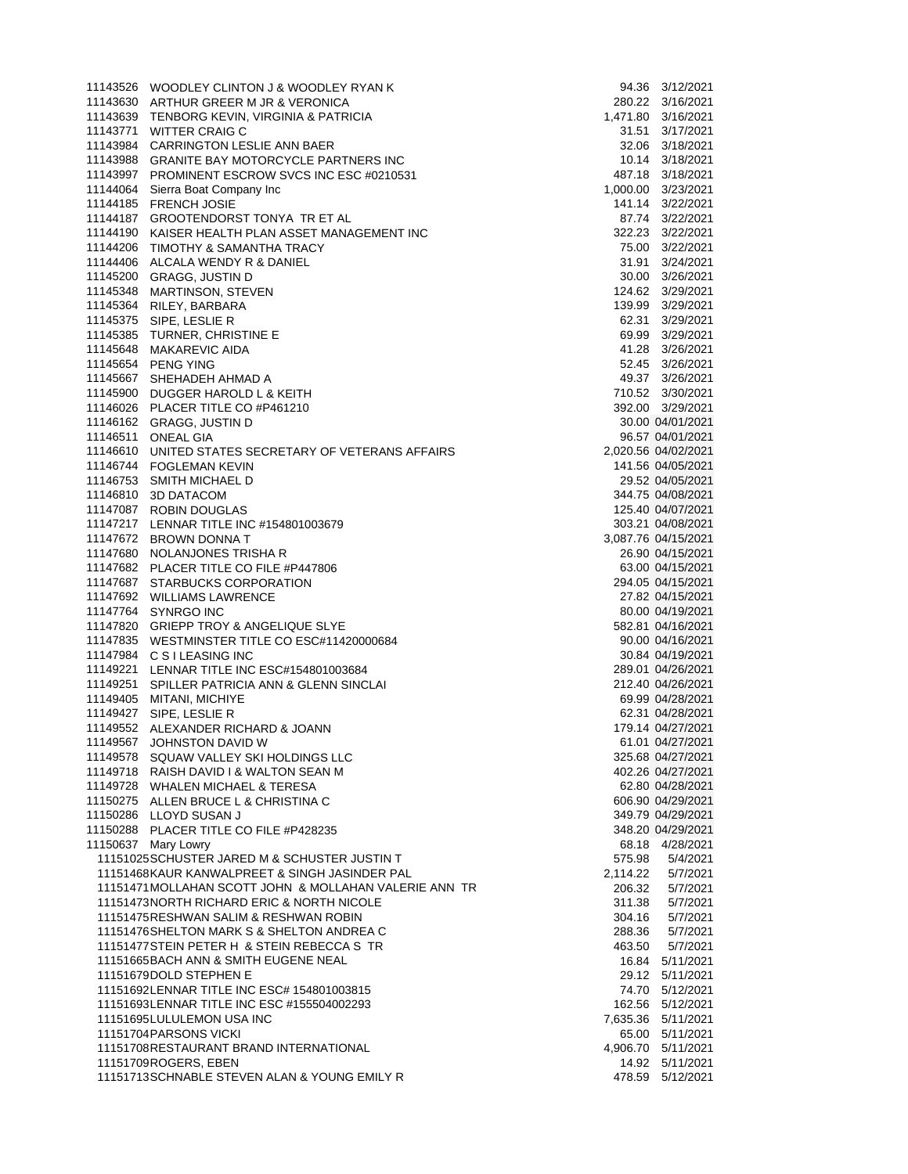| 11143526 WOODLEY CLINTON J & WOODLEY RYAN K                                                         |                  | 94.36 3/12/2021                        |
|-----------------------------------------------------------------------------------------------------|------------------|----------------------------------------|
| 11143630 ARTHUR GREER M JR & VERONICA                                                               |                  | 280.22 3/16/2021                       |
| 11143639 TENBORG KEVIN, VIRGINIA & PATRICIA                                                         |                  | 1,471.80 3/16/2021                     |
| 11143771 WITTER CRAIG C                                                                             |                  | 31.51 3/17/2021                        |
| 11143984 CARRINGTON LESLIE ANN BAER                                                                 |                  | 32.06 3/18/2021                        |
| 11143988 GRANITE BAY MOTORCYCLE PARTNERS INC                                                        |                  | 10.14 3/18/2021                        |
| 11143997 PROMINENT ESCROW SVCS INC ESC #0210531                                                     |                  | 487.18 3/18/2021                       |
| 11144064 Sierra Boat Company Inc                                                                    |                  | 1,000.00 3/23/2021<br>141.14 3/22/2021 |
| 11144185 FRENCH JOSIE<br>11144187 GROOTENDORST TONYA TR ET AL                                       |                  | 87.74 3/22/2021                        |
| 11144190 KAISER HEALTH PLAN ASSET MANAGEMENT INC                                                    |                  | 322.23 3/22/2021                       |
| 11144206 TIMOTHY & SAMANTHA TRACY                                                                   |                  | 75.00 3/22/2021                        |
| 11144406 ALCALA WENDY R & DANIEL                                                                    |                  | 31.91 3/24/2021                        |
| 11145200 GRAGG, JUSTIN D                                                                            |                  | 30.00 3/26/2021                        |
| 11145348 MARTINSON, STEVEN                                                                          |                  | 124.62 3/29/2021                       |
| 11145364 RILEY, BARBARA                                                                             |                  | 139.99 3/29/2021                       |
| 11145375 SIPE, LESLIE R                                                                             |                  | 62.31 3/29/2021                        |
| 11145385 TURNER, CHRISTINE E                                                                        |                  | 69.99 3/29/2021                        |
| 11145648 MAKAREVIC AIDA                                                                             |                  | 41.28 3/26/2021                        |
| 11145654 PENG YING                                                                                  |                  | 52.45 3/26/2021                        |
| 11145667 SHEHADEH AHMAD A                                                                           |                  | 49.37 3/26/2021                        |
| 11145900 DUGGER HAROLD L & KEITH                                                                    |                  | 710.52 3/30/2021                       |
| 11146026 PLACER TITLE CO #P461210                                                                   |                  | 392.00 3/29/2021                       |
| 11146162 GRAGG, JUSTIN D                                                                            |                  | 30.00 04/01/2021                       |
| 11146511 ONEAL GIA                                                                                  |                  | 96.57 04/01/2021                       |
| 11146610 UNITED STATES SECRETARY OF VETERANS AFFAIRS                                                |                  | 2,020.56 04/02/2021                    |
| 11146744 FOGLEMAN KEVIN                                                                             |                  | 141.56 04/05/2021                      |
| 11146753 SMITH MICHAEL D                                                                            |                  | 29.52 04/05/2021                       |
| 11146810 3D DATACOM                                                                                 |                  | 344.75 04/08/2021                      |
| 11147087 ROBIN DOUGLAS                                                                              |                  | 125.40 04/07/2021                      |
| 11147217 LENNAR TITLE INC #154801003679                                                             |                  | 303.21 04/08/2021                      |
| 11147672 BROWN DONNA T                                                                              |                  | 3,087.76 04/15/2021                    |
| 11147680 NOLANJONES TRISHA R                                                                        |                  | 26.90 04/15/2021<br>63.00 04/15/2021   |
| 11147682 PLACER TITLE CO FILE #P447806<br>11147687 STARBUCKS CORPORATION                            |                  | 294.05 04/15/2021                      |
| 11147692 WILLIAMS LAWRENCE                                                                          |                  | 27.82 04/15/2021                       |
| 11147764 SYNRGO INC                                                                                 |                  | 80.00 04/19/2021                       |
| 11147820 GRIEPP TROY & ANGELIQUE SLYE                                                               |                  | 582.81 04/16/2021                      |
| 11147835 WESTMINSTER TITLE CO ESC#11420000684                                                       |                  | 90.00 04/16/2021                       |
| 11147984 C S I LEASING INC                                                                          |                  | 30.84 04/19/2021                       |
| 11149221 LENNAR TITLE INC ESC#154801003684                                                          |                  | 289.01 04/26/2021                      |
| 11149251 SPILLER PATRICIA ANN & GLENN SINCLAI                                                       |                  | 212.40 04/26/2021                      |
| 11149405 MITANI, MICHIYE                                                                            |                  | 69.99 04/28/2021                       |
| 11149427 SIPE, LESLIE R                                                                             |                  | 62.31 04/28/2021                       |
| 11149552 ALEXANDER RICHARD & JOANN                                                                  |                  | 179.14 04/27/2021                      |
| 11149567 JOHNSTON DAVID W                                                                           |                  | 61.01 04/27/2021                       |
| 11149578 SQUAW VALLEY SKI HOLDINGS LLC                                                              |                  | 325.68 04/27/2021                      |
| 11149718 RAISH DAVID I & WALTON SEAN M                                                              |                  | 402.26 04/27/2021                      |
| 11149728 WHALEN MICHAEL & TERESA                                                                    |                  | 62.80 04/28/2021                       |
| 11150275 ALLEN BRUCE L & CHRISTINA C                                                                |                  | 606.90 04/29/2021                      |
| 11150286 LLOYD SUSAN J                                                                              |                  | 349.79 04/29/2021                      |
| 11150288 PLACER TITLE CO FILE #P428235                                                              |                  | 348.20 04/29/2021                      |
| 11150637 Mary Lowry                                                                                 |                  | 68.18 4/28/2021                        |
| 11151025SCHUSTER JARED M & SCHUSTER JUSTIN T                                                        | 575.98           | 5/4/2021                               |
| 11151468KAUR KANWALPREET & SINGH JASINDER PAL                                                       | 2,114.22         | 5/7/2021                               |
| 11151471 MOLLAHAN SCOTT JOHN & MOLLAHAN VALERIE ANN TR<br>11151473NORTH RICHARD ERIC & NORTH NICOLE | 206.32<br>311.38 | 5/7/2021<br>5/7/2021                   |
| 11151475RESHWAN SALIM & RESHWAN ROBIN                                                               | 304.16           | 5/7/2021                               |
| 11151476SHELTON MARK S & SHELTON ANDREA C                                                           | 288.36           | 5/7/2021                               |
| 11151477 STEIN PETER H & STEIN REBECCA S TR                                                         | 463.50           | 5/7/2021                               |
| 11151665BACH ANN & SMITH EUGENE NEAL                                                                |                  | 16.84 5/11/2021                        |
| 11151679DOLD STEPHEN E                                                                              |                  | 29.12 5/11/2021                        |
| 11151692LENNAR TITLE INC ESC# 154801003815                                                          |                  | 74.70 5/12/2021                        |
| 11151693LENNAR TITLE INC ESC #155504002293                                                          |                  | 162.56 5/12/2021                       |
| 11151695LULULEMON USA INC                                                                           |                  | 7,635.36 5/11/2021                     |
| 11151704PARSONS VICKI                                                                               |                  | 65.00 5/11/2021                        |
| 11151708RESTAURANT BRAND INTERNATIONAL                                                              |                  | 4,906.70 5/11/2021                     |
| 11151709ROGERS, EBEN                                                                                |                  | 14.92  5/11/2021                       |
| 11151713SCHNABLE STEVEN ALAN & YOUNG EMILY R                                                        |                  | 478.59 5/12/2021                       |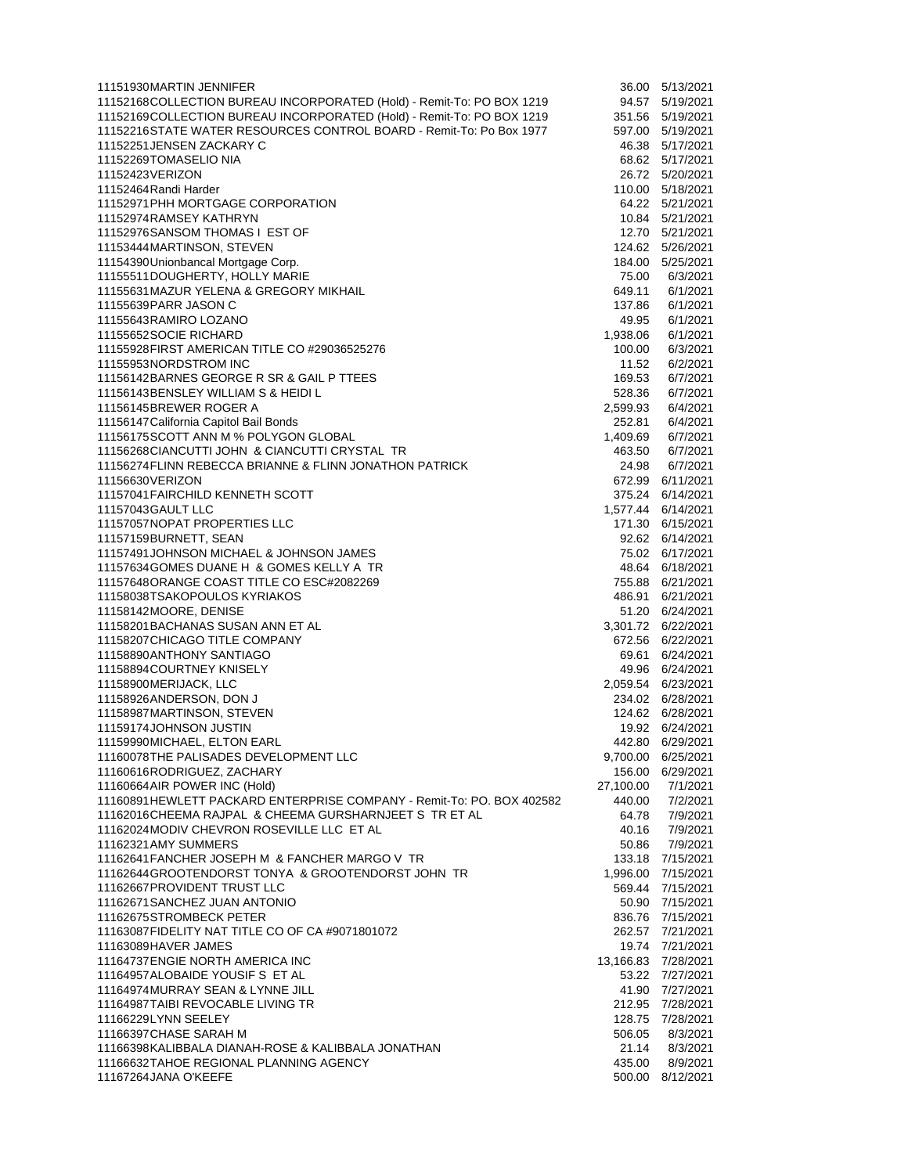| 11151930MARTIN JENNIFER                                                                      | 36.00               | 5/13/2021                            |
|----------------------------------------------------------------------------------------------|---------------------|--------------------------------------|
| 11152168COLLECTION BUREAU INCORPORATED (Hold) - Remit-To: PO BOX 1219                        | 94.57               | 5/19/2021                            |
| 11152169COLLECTION BUREAU INCORPORATED (Hold) - Remit-To: PO BOX 1219                        | 351.56              | 5/19/2021                            |
| 11152216STATE WATER RESOURCES CONTROL BOARD - Remit-To: Po Box 1977                          |                     | 597.00 5/19/2021                     |
| 11152251JENSEN ZACKARY C<br>11152269TOMASELIO NIA                                            | 46.38               | 5/17/2021                            |
| 11152423VERIZON                                                                              |                     | 68.62 5/17/2021<br>26.72 5/20/2021   |
| 11152464 Randi Harder                                                                        |                     | 110.00 5/18/2021                     |
| 11152971 PHH MORTGAGE CORPORATION                                                            |                     | 64.22 5/21/2021                      |
| 11152974RAMSEY KATHRYN                                                                       |                     | 10.84 5/21/2021                      |
| 11152976SANSOM THOMAS I EST OF                                                               |                     | 12.70  5/21/2021                     |
| 11153444MARTINSON, STEVEN                                                                    |                     | 124.62 5/26/2021                     |
| 11154390 Unionbancal Mortgage Corp.                                                          |                     | 184.00 5/25/2021                     |
| 11155511DOUGHERTY, HOLLY MARIE                                                               | 75.00               | 6/3/2021                             |
| 11155631 MAZUR YELENA & GREGORY MIKHAIL                                                      | 649.11              | 6/1/2021                             |
| 11155639PARR JASON C                                                                         | 137.86              | 6/1/2021                             |
| 11155643RAMIRO LOZANO                                                                        | 49.95               | 6/1/2021                             |
| 11155652SOCIE RICHARD                                                                        | 1,938.06            | 6/1/2021                             |
| 11155928FIRST AMERICAN TITLE CO #29036525276<br>11155953NORDSTROM INC                        | 100.00<br>11.52     | 6/3/2021<br>6/2/2021                 |
| 11156142BARNES GEORGE R SR & GAIL P TTEES                                                    | 169.53              | 6/7/2021                             |
| 11156143BENSLEY WILLIAM S & HEIDI L                                                          | 528.36              | 6/7/2021                             |
| 11156145BREWER ROGER A                                                                       | 2,599.93            | 6/4/2021                             |
| 11156147 California Capitol Bail Bonds                                                       | 252.81              | 6/4/2021                             |
| 11156175SCOTT ANN M % POLYGON GLOBAL                                                         | 1,409.69            | 6/7/2021                             |
| 11156268CIANCUTTI JOHN & CIANCUTTI CRYSTAL TR                                                | 463.50              | 6/7/2021                             |
| 11156274 FLINN REBECCA BRIANNE & FLINN JONATHON PATRICK                                      | 24.98               | 6/7/2021                             |
| 11156630VERIZON                                                                              |                     | 672.99 6/11/2021                     |
| 11157041 FAIRCHILD KENNETH SCOTT                                                             |                     | 375.24 6/14/2021                     |
| 11157043GAULT LLC                                                                            |                     | 1,577.44 6/14/2021                   |
| 11157057NOPAT PROPERTIES LLC<br>11157159BURNETT, SEAN                                        |                     | 171.30 6/15/2021                     |
| 11157491JOHNSON MICHAEL & JOHNSON JAMES                                                      |                     | 92.62 6/14/2021<br>75.02 6/17/2021   |
| 11157634GOMES DUANE H & GOMES KELLY A TR                                                     |                     | 48.64 6/18/2021                      |
| 11157648ORANGE COAST TITLE CO ESC#2082269                                                    |                     | 755.88 6/21/2021                     |
| 11158038TSAKOPOULOS KYRIAKOS                                                                 |                     | 486.91 6/21/2021                     |
| 11158142MOORE, DENISE                                                                        |                     | 51.20 6/24/2021                      |
| 11158201BACHANAS SUSAN ANN ET AL                                                             |                     | 3,301.72 6/22/2021                   |
| 11158207 CHICAGO TITLE COMPANY                                                               |                     | 672.56 6/22/2021                     |
| 11158890ANTHONY SANTIAGO                                                                     |                     | 69.61 6/24/2021                      |
| 11158894COURTNEY KNISELY                                                                     |                     | 49.96 6/24/2021                      |
| 11158900MERIJACK, LLC                                                                        |                     | 2,059.54 6/23/2021                   |
| 11158926ANDERSON, DON J<br>11158987MARTINSON, STEVEN                                         |                     | 234.02 6/28/2021<br>124.62 6/28/2021 |
| 11159174JOHNSON JUSTIN                                                                       |                     | 19.92 6/24/2021                      |
| 11159990MICHAEL, ELTON EARL                                                                  |                     | 442.80 6/29/2021                     |
| 11160078THE PALISADES DEVELOPMENT LLC                                                        |                     | 9,700.00 6/25/2021                   |
| 11160616RODRIGUEZ, ZACHARY                                                                   |                     | 156.00 6/29/2021                     |
| 11160664AIR POWER INC (Hold)                                                                 | 27.100.00           | 7/1/2021                             |
| 11160891HEWLETT PACKARD ENTERPRISE COMPANY - Remit-To: PO. BOX 402582                        | 440.00              | 7/2/2021                             |
| 11162016CHEEMA RAJPAL & CHEEMA GURSHARNJEET S TR ET AL                                       | 64.78               | 7/9/2021                             |
| 11162024MODIV CHEVRON ROSEVILLE LLC ET AL                                                    | 40.16               | 7/9/2021                             |
| 11162321AMY SUMMERS                                                                          | 50.86               | 7/9/2021                             |
| 11162641 FANCHER JOSEPH M & FANCHER MARGO V TR                                               |                     | 133.18 7/15/2021                     |
| 11162644GROOTENDORST TONYA & GROOTENDORST JOHN TR<br>11162667PROVIDENT TRUST LLC             |                     | 1,996.00 7/15/2021                   |
| 11162671 SANCHEZ JUAN ANTONIO                                                                | 569.44              | 7/15/2021<br>50.90 7/15/2021         |
| 11162675STROMBECK PETER                                                                      |                     | 836.76 7/15/2021                     |
| 11163087FIDELITY NAT TITLE CO OF CA #9071801072                                              |                     | 262.57 7/21/2021                     |
| 11163089HAVER JAMES                                                                          |                     | 19.74 7/21/2021                      |
| 11164737 ENGIE NORTH AMERICA INC                                                             | 13,166.83 7/28/2021 |                                      |
| 11164957ALOBAIDE YOUSIF S ET AL                                                              |                     | 53.22 7/27/2021                      |
| 11164974MURRAY SEAN & LYNNE JILL                                                             |                     | 41.90 7/27/2021                      |
| 11164987TAIBI REVOCABLE LIVING TR                                                            |                     | 212.95 7/28/2021                     |
| 11166229LYNN SEELEY                                                                          | 128.75              | 7/28/2021                            |
| 11166397CHASE SARAH M                                                                        | 506.05              | 8/3/2021                             |
| 11166398KALIBBALA DIANAH-ROSE & KALIBBALA JONATHAN<br>11166632TAHOE REGIONAL PLANNING AGENCY | 21.14<br>435.00     | 8/3/2021<br>8/9/2021                 |
| 11167264JANA O'KEEFE                                                                         |                     | 500.00 8/12/2021                     |
|                                                                                              |                     |                                      |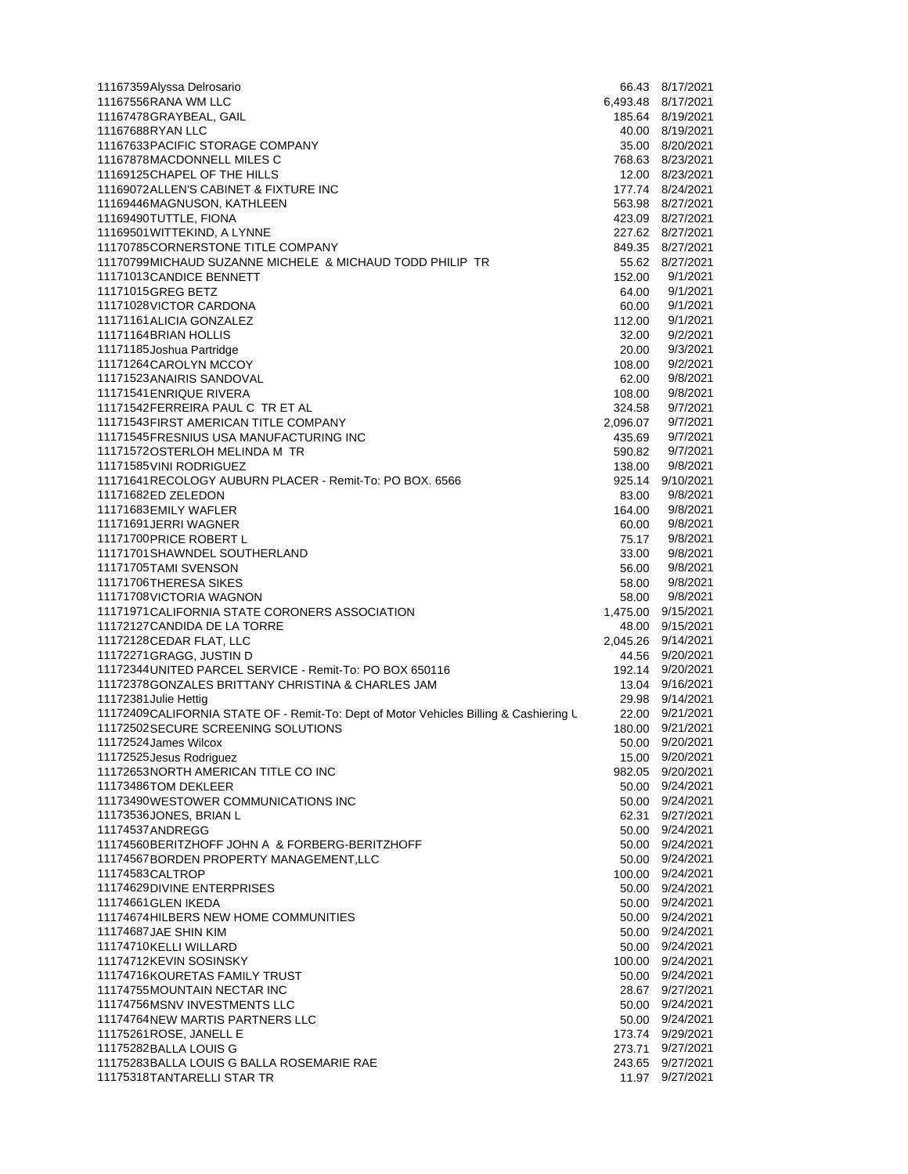| 11167359Alyssa Delrosario                                                             |          | 66.43 8/17/2021                                                                                |
|---------------------------------------------------------------------------------------|----------|------------------------------------------------------------------------------------------------|
| 11167556RANA WM LLC                                                                   |          | 6,493.48 8/17/2021                                                                             |
| 11167478GRAYBEAL, GAIL                                                                |          | 185.64 8/19/2021                                                                               |
| 11167688RYAN LLC                                                                      |          | 40.00 8/19/2021                                                                                |
| 11167633 PACIFIC STORAGE COMPANY                                                      |          | 35.00 8/20/2021                                                                                |
| 11167878MACDONNELL MILES C                                                            |          | 768.63 8/23/2021                                                                               |
| 11169125CHAPEL OF THE HILLS                                                           |          | 12.00 8/23/2021                                                                                |
| 11169072ALLEN'S CABINET & FIXTURE INC                                                 |          | 177.74 8/24/2021                                                                               |
| 11169446MAGNUSON, KATHLEEN                                                            |          | 563.98 8/27/2021                                                                               |
| 11169490TUTTLE, FIONA                                                                 |          | 423.09 8/27/2021                                                                               |
| 11169501 WITTEKIND, A LYNNE                                                           |          | 227.62 8/27/2021                                                                               |
| 11170785CORNERSTONE TITLE COMPANY                                                     |          | 849.35 8/27/2021                                                                               |
| 11170799MICHAUD SUZANNE MICHELE & MICHAUD TODD PHILIP TR                              |          | 55.62 8/27/2021                                                                                |
| 11171013CANDICE BENNETT                                                               | 152.00   | 9/1/2021                                                                                       |
| 11171015GREG BETZ                                                                     | 64.00    | 9/1/2021                                                                                       |
| 11171028VICTOR CARDONA                                                                | 60.00    | 9/1/2021                                                                                       |
| 11171161 ALICIA GONZALEZ                                                              |          | 9/1/2021                                                                                       |
|                                                                                       | 112.00   |                                                                                                |
| 11171164BRIAN HOLLIS                                                                  | 32.00    | 9/2/2021                                                                                       |
| 11171185 Joshua Partridge                                                             | 20.00    | 9/3/2021                                                                                       |
| 11171264CAROLYN MCCOY                                                                 | 108.00   | 9/2/2021                                                                                       |
| 11171523ANAIRIS SANDOVAL                                                              | 62.00    | 9/8/2021                                                                                       |
| 11171541 ENRIQUE RIVERA                                                               | 108.00   | 9/8/2021                                                                                       |
| 11171542FERREIRA PAUL C TR ET AL                                                      | 324.58   | 9/7/2021                                                                                       |
| 11171543FIRST AMERICAN TITLE COMPANY                                                  | 2,096.07 | 9/7/2021                                                                                       |
| 11171545 FRESNIUS USA MANUFACTURING INC                                               | 435.69   | 9/7/2021                                                                                       |
| 111715720STERLOH MELINDA M TR                                                         | 590.82   | 9/7/2021                                                                                       |
| 11171585 VINI RODRIGUEZ                                                               | 138.00   | 9/8/2021                                                                                       |
| 11171641 RECOLOGY AUBURN PLACER - Remit-To: PO BOX. 6566                              |          | 925.14 9/10/2021                                                                               |
| 11171682ED ZELEDON                                                                    | 83.00    | 9/8/2021                                                                                       |
| 11171683EMILY WAFLER                                                                  | 164.00   | 9/8/2021                                                                                       |
| 11171691JERRI WAGNER                                                                  | 60.00    | 9/8/2021                                                                                       |
| 11171700 PRICE ROBERT L                                                               | 75.17    | 9/8/2021                                                                                       |
| 11171701 SHAWNDEL SOUTHERLAND                                                         | 33.00    | 9/8/2021                                                                                       |
| 11171705TAMI SVENSON                                                                  | 56.00    | 9/8/2021                                                                                       |
| 11171706THERESA SIKES                                                                 | 58.00    | 9/8/2021                                                                                       |
| 11171708VICTORIA WAGNON                                                               | 58.00    | 9/8/2021                                                                                       |
| 11171971 CALIFORNIA STATE CORONERS ASSOCIATION                                        | 1,475.00 | 9/15/2021                                                                                      |
| 11172127 CANDIDA DE LA TORRE                                                          | 48.00    | 9/15/2021                                                                                      |
| 11172128CEDAR FLAT, LLC                                                               | 2,045.26 | 9/14/2021                                                                                      |
| 11172271GRAGG, JUSTIN D                                                               |          | 44.56 9/20/2021                                                                                |
| 11172344 UNITED PARCEL SERVICE - Remit-To: PO BOX 650116                              |          | 9/20/2021                                                                                      |
|                                                                                       | 192.14   |                                                                                                |
| 11172378GONZALES BRITTANY CHRISTINA & CHARLES JAM                                     |          | 13.04 9/16/2021                                                                                |
| 11172381 Julie Hettig                                                                 | 29.98    | 9/14/2021                                                                                      |
| 11172409CALIFORNIA STATE OF - Remit-To: Dept of Motor Vehicles Billing & Cashiering L | 22.00    | 9/21/2021                                                                                      |
| 11172502SECURE SCREENING SOLUTIONS                                                    | 180.00   | 9/21/2021                                                                                      |
|                                                                                       |          |                                                                                                |
| 11172524 James Wilcox                                                                 | 50.00    | 9/20/2021                                                                                      |
| 11172525 Jesus Rodriguez                                                              |          | 15.00 9/20/2021                                                                                |
| 11172653NORTH AMERICAN TITLE CO INC                                                   |          | 982.05 9/20/2021                                                                               |
| 11173486TOM DEKLEER                                                                   |          | 50.00 9/24/2021                                                                                |
| 11173490WESTOWER COMMUNICATIONS INC                                                   |          | 50.00 9/24/2021                                                                                |
| 11173536JONES, BRIAN L                                                                | 62.31    | 9/27/2021                                                                                      |
| 11174537ANDREGG                                                                       | 50.00    | 9/24/2021                                                                                      |
| 11174560BERITZHOFF JOHN A & FORBERG-BERITZHOFF                                        |          | 50.00 9/24/2021                                                                                |
|                                                                                       |          | 50.00 9/24/2021                                                                                |
| 11174567BORDEN PROPERTY MANAGEMENT, LLC                                               |          |                                                                                                |
| 11174583CALTROP                                                                       | 100.00   | 9/24/2021                                                                                      |
| 11174629DIVINE ENTERPRISES                                                            |          | 50.00 9/24/2021                                                                                |
| 11174661 GLEN IKEDA                                                                   | 50.00    | 9/24/2021                                                                                      |
| 11174674 HILBERS NEW HOME COMMUNITIES                                                 |          | 50.00 9/24/2021                                                                                |
| 11174687JAE SHIN KIM                                                                  |          | 50.00 9/24/2021                                                                                |
| 11174710KELLI WILLARD                                                                 |          | 50.00 9/24/2021                                                                                |
| 11174712KEVIN SOSINSKY                                                                |          | 100.00 9/24/2021                                                                               |
| 11174716KOURETAS FAMILY TRUST                                                         |          | 50.00 9/24/2021                                                                                |
|                                                                                       |          | 28.67 9/27/2021                                                                                |
| 11174756MSNV INVESTMENTS LLC                                                          |          | 50.00 9/24/2021                                                                                |
| 11174755MOUNTAIN NECTAR INC<br>11174764NEW MARTIS PARTNERS LLC                        |          |                                                                                                |
| 11175261 ROSE, JANELL E                                                               |          |                                                                                                |
| 11175282BALLA LOUIS G                                                                 |          |                                                                                                |
| 11175283BALLA LOUIS G BALLA ROSEMARIE RAE<br>11175318TANTARELLI STAR TR               |          | 50.00 9/24/2021<br>173.74 9/29/2021<br>273.71 9/27/2021<br>243.65 9/27/2021<br>11.97 9/27/2021 |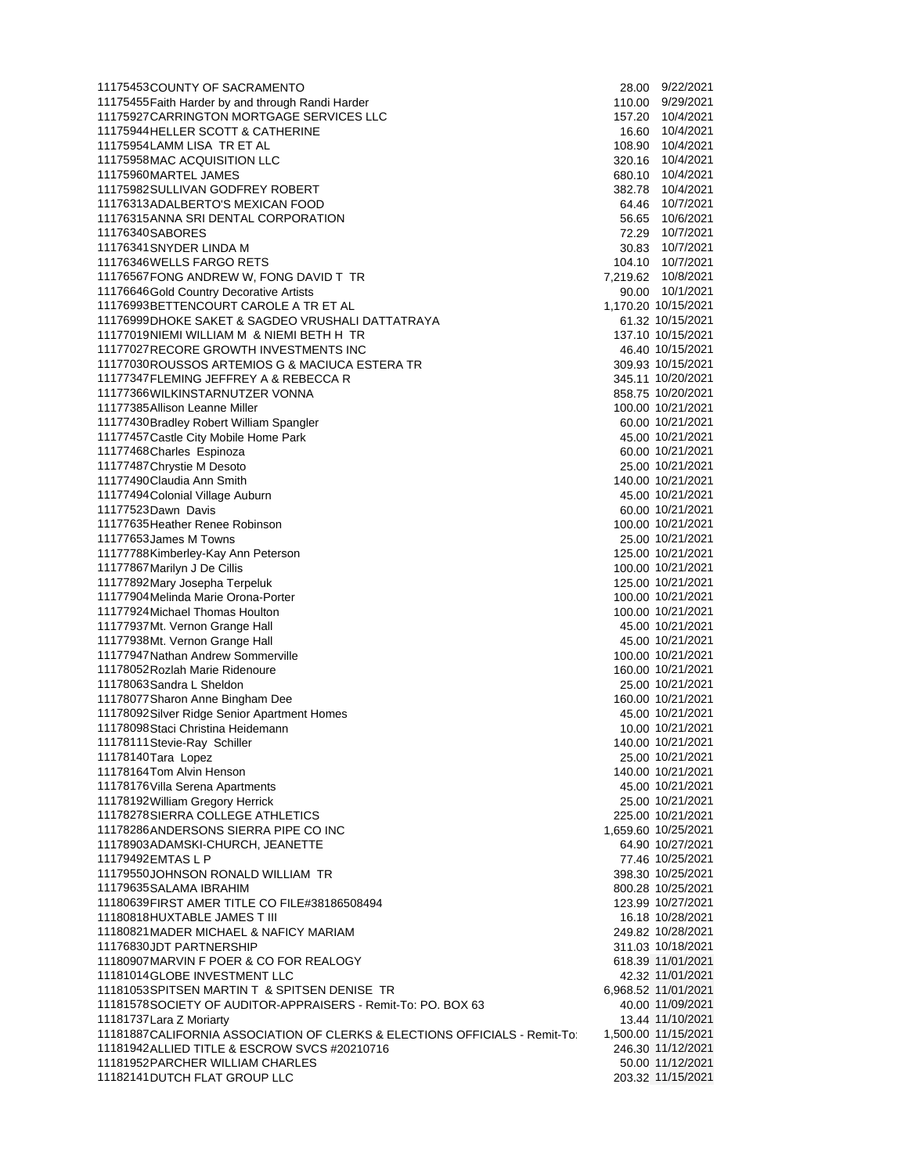| 11175453COUNTY OF SACRAMENTO                                               | 28.00 9/22/2021     |  |
|----------------------------------------------------------------------------|---------------------|--|
| 11175455 Faith Harder by and through Randi Harder                          | 110.00 9/29/2021    |  |
| 11175927 CARRINGTON MORTGAGE SERVICES LLC                                  | 157.20 10/4/2021    |  |
| 11175944 HELLER SCOTT & CATHERINE                                          | 16.60 10/4/2021     |  |
| 11175954LAMM LISA TR ET AL                                                 | 108.90  10/4/2021   |  |
| 11175958MAC ACQUISITION LLC                                                | 320.16 10/4/2021    |  |
| 11175960MARTEL JAMES                                                       | 680.10 10/4/2021    |  |
| 11175982SULLIVAN GODFREY ROBERT                                            | 382.78 10/4/2021    |  |
| 11176313ADALBERTO'S MEXICAN FOOD                                           | 64.46 10/7/2021     |  |
| 11176315ANNA SRI DENTAL CORPORATION                                        | 56.65 10/6/2021     |  |
| 11176340SABORES                                                            | 72.29 10/7/2021     |  |
| 11176341 SNYDER LINDA M                                                    | 30.83 10/7/2021     |  |
| 11176346WELLS FARGO RETS                                                   | 104.10 10/7/2021    |  |
| 11176567FONG ANDREW W, FONG DAVID T TR                                     | 7,219.62 10/8/2021  |  |
| 11176646Gold Country Decorative Artists                                    | 90.00 10/1/2021     |  |
| 11176993BETTENCOURT CAROLE A TR ET AL                                      | 1,170.20 10/15/2021 |  |
| 11176999DHOKE SAKET & SAGDEO VRUSHALI DATTATRAYA                           | 61.32 10/15/2021    |  |
| 11177019NIEMI WILLIAM M & NIEMI BETH H TR                                  | 137.10 10/15/2021   |  |
| 11177027RECORE GROWTH INVESTMENTS INC                                      | 46.40 10/15/2021    |  |
| 11177030ROUSSOS ARTEMIOS G & MACIUCA ESTERA TR                             | 309.93 10/15/2021   |  |
| 11177347FLEMING JEFFREY A & REBECCA R                                      | 345.11 10/20/2021   |  |
| 11177366WILKINSTARNUTZER VONNA                                             | 858.75 10/20/2021   |  |
| 11177385 Allison Leanne Miller                                             | 100.00 10/21/2021   |  |
| 11177430 Bradley Robert William Spangler                                   | 60.00 10/21/2021    |  |
| 11177457 Castle City Mobile Home Park                                      | 45.00 10/21/2021    |  |
| 11177468 Charles Espinoza                                                  | 60.00 10/21/2021    |  |
| 11177487 Chrystie M Desoto                                                 | 25.00 10/21/2021    |  |
| 11177490Claudia Ann Smith                                                  | 140.00 10/21/2021   |  |
| 11177494 Colonial Village Auburn                                           | 45.00 10/21/2021    |  |
| 11177523Dawn Davis                                                         | 60.00 10/21/2021    |  |
| 11177635 Heather Renee Robinson                                            | 100.00 10/21/2021   |  |
| 11177653 James M Towns                                                     | 25.00 10/21/2021    |  |
| 11177788Kimberley-Kay Ann Peterson                                         | 125.00 10/21/2021   |  |
| 11177867 Marilyn J De Cillis                                               | 100.00 10/21/2021   |  |
| 11177892 Mary Josepha Terpeluk                                             | 125.00 10/21/2021   |  |
| 11177904 Melinda Marie Orona-Porter                                        | 100.00 10/21/2021   |  |
| 11177924 Michael Thomas Houlton                                            | 100.00 10/21/2021   |  |
| 11177937Mt. Vernon Grange Hall                                             | 45.00 10/21/2021    |  |
| 11177938Mt. Vernon Grange Hall                                             | 45.00 10/21/2021    |  |
| 11177947 Nathan Andrew Sommerville                                         | 100.00 10/21/2021   |  |
| 11178052 Rozlah Marie Ridenoure                                            | 160.00 10/21/2021   |  |
| 11178063Sandra L Sheldon                                                   | 25.00 10/21/2021    |  |
| 11178077 Sharon Anne Bingham Dee                                           | 160.00 10/21/2021   |  |
| 11178092Silver Ridge Senior Apartment Homes                                | 45.00 10/21/2021    |  |
| 11178098 Staci Christina Heidemann                                         | 10.00 10/21/2021    |  |
| 11178111 Stevie-Ray Schiller                                               | 140.00 10/21/2021   |  |
| 11178140Tara Lopez                                                         | 25.00 10/21/2021    |  |
| 11178164Tom Alvin Henson                                                   | 140.00 10/21/2021   |  |
| 11178176 Villa Serena Apartments                                           | 45.00 10/21/2021    |  |
| 11178192 William Gregory Herrick                                           | 25.00 10/21/2021    |  |
| 11178278SIERRA COLLEGE ATHLETICS                                           | 225.00 10/21/2021   |  |
| 11178286ANDERSONS SIERRA PIPE CO INC                                       | 1,659.60 10/25/2021 |  |
| 11178903ADAMSKI-CHURCH, JEANETTE                                           | 64.90 10/27/2021    |  |
| 11179492EMTAS L P                                                          | 77.46 10/25/2021    |  |
| 11179550JOHNSON RONALD WILLIAM TR                                          | 398.30 10/25/2021   |  |
| 11179635SALAMA IBRAHIM                                                     | 800.28 10/25/2021   |  |
| 11180639FIRST AMER TITLE CO FILE#38186508494                               | 123.99 10/27/2021   |  |
| 11180818HUXTABLE JAMES T III                                               | 16.18 10/28/2021    |  |
| 11180821 MADER MICHAEL & NAFICY MARIAM                                     | 249.82 10/28/2021   |  |
| 11176830JDT PARTNERSHIP                                                    | 311.03 10/18/2021   |  |
| 11180907MARVIN F POER & CO FOR REALOGY                                     | 618.39 11/01/2021   |  |
| 11181014GLOBE INVESTMENT LLC                                               | 42.32 11/01/2021    |  |
| 11181053SPITSEN MARTIN T & SPITSEN DENISE TR                               | 6,968.52 11/01/2021 |  |
| 11181578SOCIETY OF AUDITOR-APPRAISERS - Remit-To: PO. BOX 63               | 40.00 11/09/2021    |  |
| 11181737 Lara Z Moriarty                                                   | 13.44 11/10/2021    |  |
| 11181887CALIFORNIA ASSOCIATION OF CLERKS & ELECTIONS OFFICIALS - Remit-To: | 1,500.00 11/15/2021 |  |
| 11181942 ALLIED TITLE & ESCROW SVCS #20210716                              | 246.30 11/12/2021   |  |
| 11181952 PARCHER WILLIAM CHARLES                                           | 50.00 11/12/2021    |  |
| 11182141 DUTCH FLAT GROUP LLC                                              | 203.32 11/15/2021   |  |
|                                                                            |                     |  |